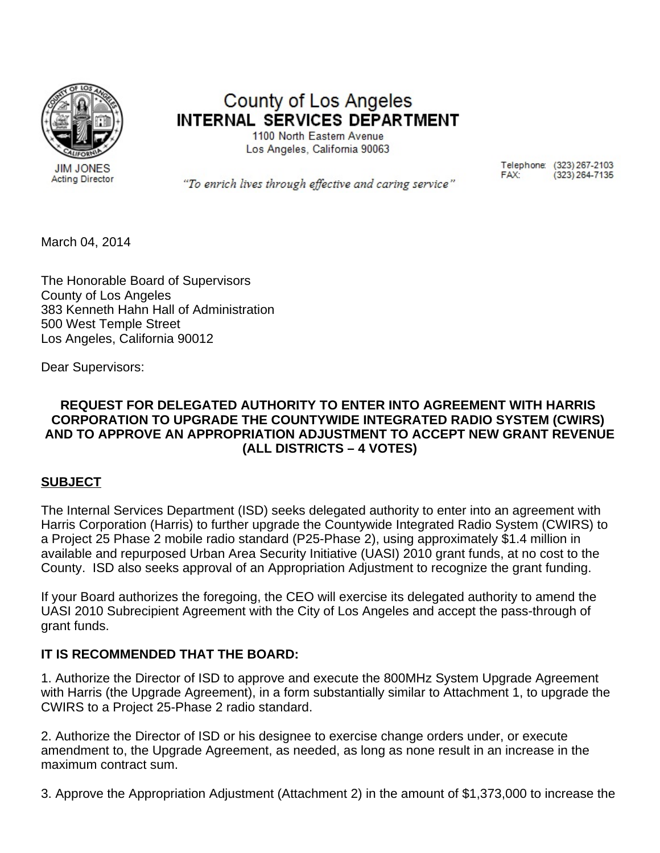

County of Los Angeles **INTERNAL SERVICES DEPARTMENT** 

> 1100 North Eastern Avenue Los Angeles, California 90063

> > Telephone: (323) 267-2103  $(323)$  264-7135 FAX:

"To enrich lives through effective and caring service"

March 04, 2014

The Honorable Board of Supervisors County of Los Angeles 383 Kenneth Hahn Hall of Administration 500 West Temple Street Los Angeles, California 90012

Dear Supervisors:

#### **REQUEST FOR DELEGATED AUTHORITY TO ENTER INTO AGREEMENT WITH HARRIS CORPORATION TO UPGRADE THE COUNTYWIDE INTEGRATED RADIO SYSTEM (CWIRS) AND TO APPROVE AN APPROPRIATION ADJUSTMENT TO ACCEPT NEW GRANT REVENUE (ALL DISTRICTS – 4 VOTES)**

#### **SUBJECT**

The Internal Services Department (ISD) seeks delegated authority to enter into an agreement with Harris Corporation (Harris) to further upgrade the Countywide Integrated Radio System (CWIRS) to a Project 25 Phase 2 mobile radio standard (P25-Phase 2), using approximately \$1.4 million in available and repurposed Urban Area Security Initiative (UASI) 2010 grant funds, at no cost to the County. ISD also seeks approval of an Appropriation Adjustment to recognize the grant funding.

If your Board authorizes the foregoing, the CEO will exercise its delegated authority to amend the UASI 2010 Subrecipient Agreement with the City of Los Angeles and accept the pass-through of grant funds.

#### **IT IS RECOMMENDED THAT THE BOARD:**

1. Authorize the Director of ISD to approve and execute the 800MHz System Upgrade Agreement with Harris (the Upgrade Agreement), in a form substantially similar to Attachment 1, to upgrade the CWIRS to a Project 25-Phase 2 radio standard.

2. Authorize the Director of ISD or his designee to exercise change orders under, or execute amendment to, the Upgrade Agreement, as needed, as long as none result in an increase in the maximum contract sum.

3. Approve the Appropriation Adjustment (Attachment 2) in the amount of \$1,373,000 to increase the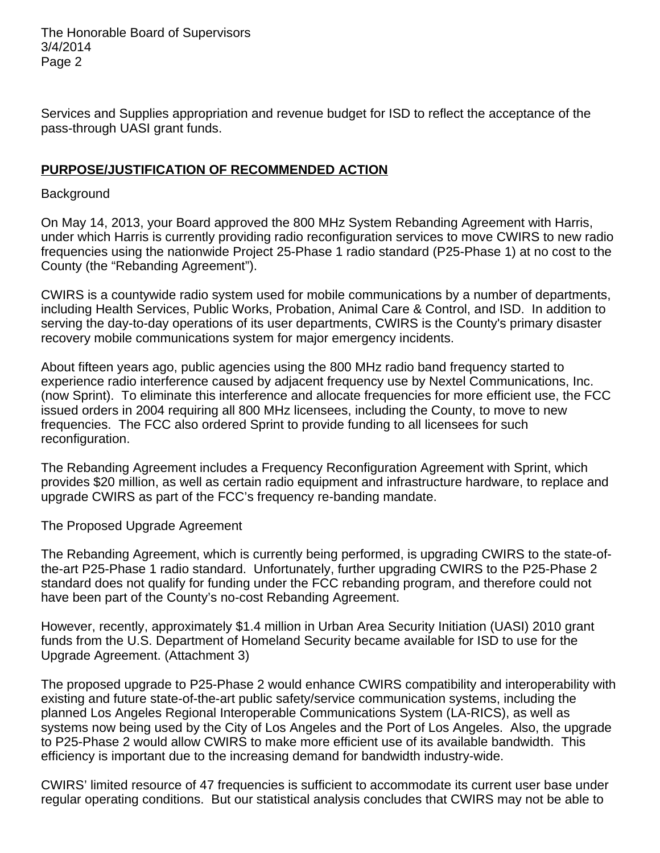Services and Supplies appropriation and revenue budget for ISD to reflect the acceptance of the pass-through UASI grant funds.

#### **PURPOSE/JUSTIFICATION OF RECOMMENDED ACTION**

#### **Background**

On May 14, 2013, your Board approved the 800 MHz System Rebanding Agreement with Harris, under which Harris is currently providing radio reconfiguration services to move CWIRS to new radio frequencies using the nationwide Project 25-Phase 1 radio standard (P25-Phase 1) at no cost to the County (the "Rebanding Agreement").

CWIRS is a countywide radio system used for mobile communications by a number of departments, including Health Services, Public Works, Probation, Animal Care & Control, and ISD. In addition to serving the day-to-day operations of its user departments, CWIRS is the County's primary disaster recovery mobile communications system for major emergency incidents.

About fifteen years ago, public agencies using the 800 MHz radio band frequency started to experience radio interference caused by adjacent frequency use by Nextel Communications, Inc. (now Sprint). To eliminate this interference and allocate frequencies for more efficient use, the FCC issued orders in 2004 requiring all 800 MHz licensees, including the County, to move to new frequencies. The FCC also ordered Sprint to provide funding to all licensees for such reconfiguration.

The Rebanding Agreement includes a Frequency Reconfiguration Agreement with Sprint, which provides \$20 million, as well as certain radio equipment and infrastructure hardware, to replace and upgrade CWIRS as part of the FCC's frequency re-banding mandate.

The Proposed Upgrade Agreement

The Rebanding Agreement, which is currently being performed, is upgrading CWIRS to the state-ofthe-art P25-Phase 1 radio standard. Unfortunately, further upgrading CWIRS to the P25-Phase 2 standard does not qualify for funding under the FCC rebanding program, and therefore could not have been part of the County's no-cost Rebanding Agreement.

However, recently, approximately \$1.4 million in Urban Area Security Initiation (UASI) 2010 grant funds from the U.S. Department of Homeland Security became available for ISD to use for the Upgrade Agreement. (Attachment 3)

The proposed upgrade to P25-Phase 2 would enhance CWIRS compatibility and interoperability with existing and future state-of-the-art public safety/service communication systems, including the planned Los Angeles Regional Interoperable Communications System (LA-RICS), as well as systems now being used by the City of Los Angeles and the Port of Los Angeles. Also, the upgrade to P25-Phase 2 would allow CWIRS to make more efficient use of its available bandwidth. This efficiency is important due to the increasing demand for bandwidth industry-wide.

CWIRS' limited resource of 47 frequencies is sufficient to accommodate its current user base under regular operating conditions. But our statistical analysis concludes that CWIRS may not be able to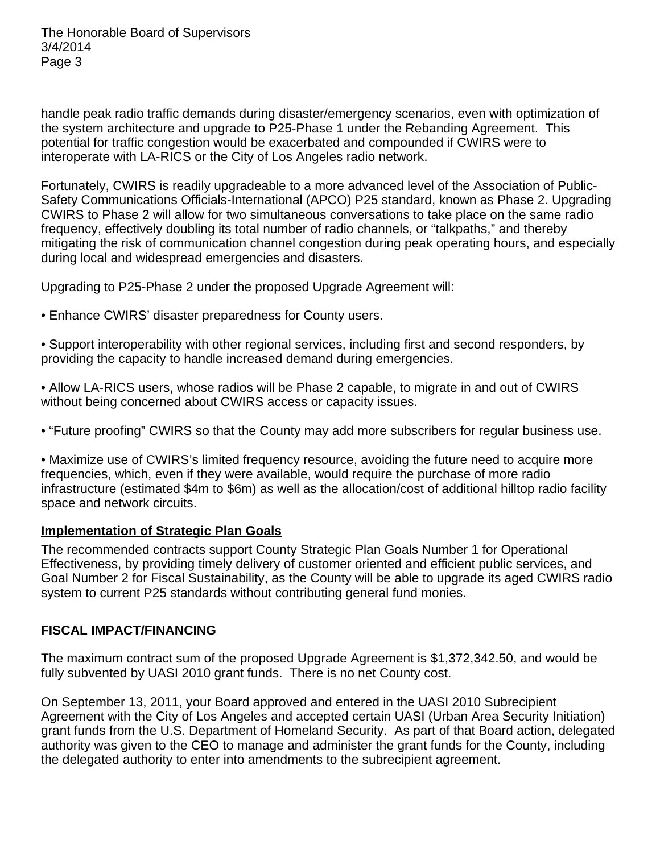handle peak radio traffic demands during disaster/emergency scenarios, even with optimization of the system architecture and upgrade to P25-Phase 1 under the Rebanding Agreement. This potential for traffic congestion would be exacerbated and compounded if CWIRS were to interoperate with LA-RICS or the City of Los Angeles radio network.

Fortunately, CWIRS is readily upgradeable to a more advanced level of the Association of Public-Safety Communications Officials-International (APCO) P25 standard, known as Phase 2. Upgrading CWIRS to Phase 2 will allow for two simultaneous conversations to take place on the same radio frequency, effectively doubling its total number of radio channels, or "talkpaths," and thereby mitigating the risk of communication channel congestion during peak operating hours, and especially during local and widespread emergencies and disasters.

Upgrading to P25-Phase 2 under the proposed Upgrade Agreement will:

• Enhance CWIRS' disaster preparedness for County users.

• Support interoperability with other regional services, including first and second responders, by providing the capacity to handle increased demand during emergencies.

• Allow LA-RICS users, whose radios will be Phase 2 capable, to migrate in and out of CWIRS without being concerned about CWIRS access or capacity issues.

• "Future proofing" CWIRS so that the County may add more subscribers for regular business use.

• Maximize use of CWIRS's limited frequency resource, avoiding the future need to acquire more frequencies, which, even if they were available, would require the purchase of more radio infrastructure (estimated \$4m to \$6m) as well as the allocation/cost of additional hilltop radio facility space and network circuits.

#### **Implementation of Strategic Plan Goals**

The recommended contracts support County Strategic Plan Goals Number 1 for Operational Effectiveness, by providing timely delivery of customer oriented and efficient public services, and Goal Number 2 for Fiscal Sustainability, as the County will be able to upgrade its aged CWIRS radio system to current P25 standards without contributing general fund monies.

#### **FISCAL IMPACT/FINANCING**

The maximum contract sum of the proposed Upgrade Agreement is \$1,372,342.50, and would be fully subvented by UASI 2010 grant funds. There is no net County cost.

On September 13, 2011, your Board approved and entered in the UASI 2010 Subrecipient Agreement with the City of Los Angeles and accepted certain UASI (Urban Area Security Initiation) grant funds from the U.S. Department of Homeland Security. As part of that Board action, delegated authority was given to the CEO to manage and administer the grant funds for the County, including the delegated authority to enter into amendments to the subrecipient agreement.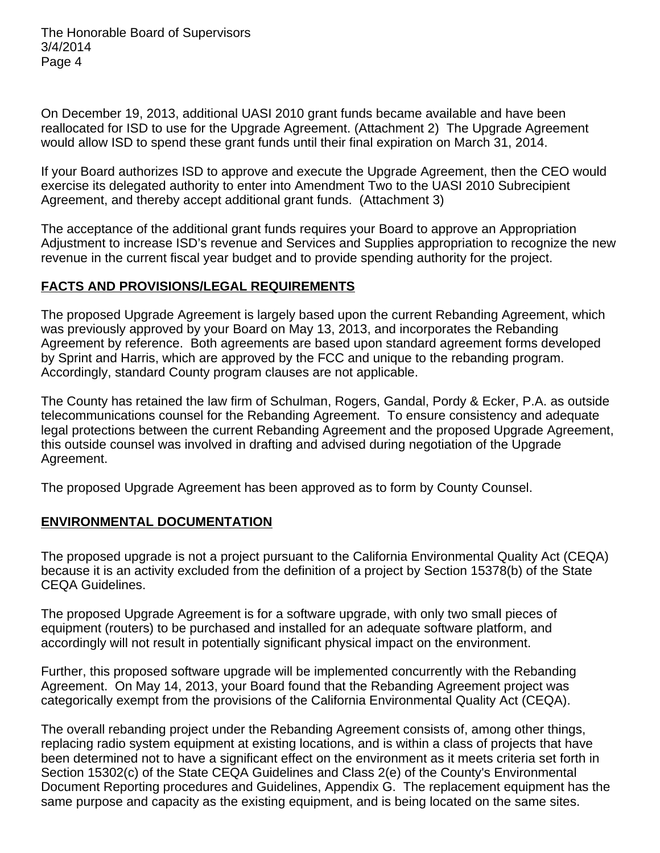On December 19, 2013, additional UASI 2010 grant funds became available and have been reallocated for ISD to use for the Upgrade Agreement. (Attachment 2) The Upgrade Agreement would allow ISD to spend these grant funds until their final expiration on March 31, 2014.

If your Board authorizes ISD to approve and execute the Upgrade Agreement, then the CEO would exercise its delegated authority to enter into Amendment Two to the UASI 2010 Subrecipient Agreement, and thereby accept additional grant funds. (Attachment 3)

The acceptance of the additional grant funds requires your Board to approve an Appropriation Adjustment to increase ISD's revenue and Services and Supplies appropriation to recognize the new revenue in the current fiscal year budget and to provide spending authority for the project.

#### **FACTS AND PROVISIONS/LEGAL REQUIREMENTS**

The proposed Upgrade Agreement is largely based upon the current Rebanding Agreement, which was previously approved by your Board on May 13, 2013, and incorporates the Rebanding Agreement by reference. Both agreements are based upon standard agreement forms developed by Sprint and Harris, which are approved by the FCC and unique to the rebanding program. Accordingly, standard County program clauses are not applicable.

The County has retained the law firm of Schulman, Rogers, Gandal, Pordy & Ecker, P.A. as outside telecommunications counsel for the Rebanding Agreement. To ensure consistency and adequate legal protections between the current Rebanding Agreement and the proposed Upgrade Agreement, this outside counsel was involved in drafting and advised during negotiation of the Upgrade Agreement.

The proposed Upgrade Agreement has been approved as to form by County Counsel.

#### **ENVIRONMENTAL DOCUMENTATION**

The proposed upgrade is not a project pursuant to the California Environmental Quality Act (CEQA) because it is an activity excluded from the definition of a project by Section 15378(b) of the State CEQA Guidelines.

The proposed Upgrade Agreement is for a software upgrade, with only two small pieces of equipment (routers) to be purchased and installed for an adequate software platform, and accordingly will not result in potentially significant physical impact on the environment.

Further, this proposed software upgrade will be implemented concurrently with the Rebanding Agreement. On May 14, 2013, your Board found that the Rebanding Agreement project was categorically exempt from the provisions of the California Environmental Quality Act (CEQA).

The overall rebanding project under the Rebanding Agreement consists of, among other things, replacing radio system equipment at existing locations, and is within a class of projects that have been determined not to have a significant effect on the environment as it meets criteria set forth in Section 15302(c) of the State CEQA Guidelines and Class 2(e) of the County's Environmental Document Reporting procedures and Guidelines, Appendix G. The replacement equipment has the same purpose and capacity as the existing equipment, and is being located on the same sites.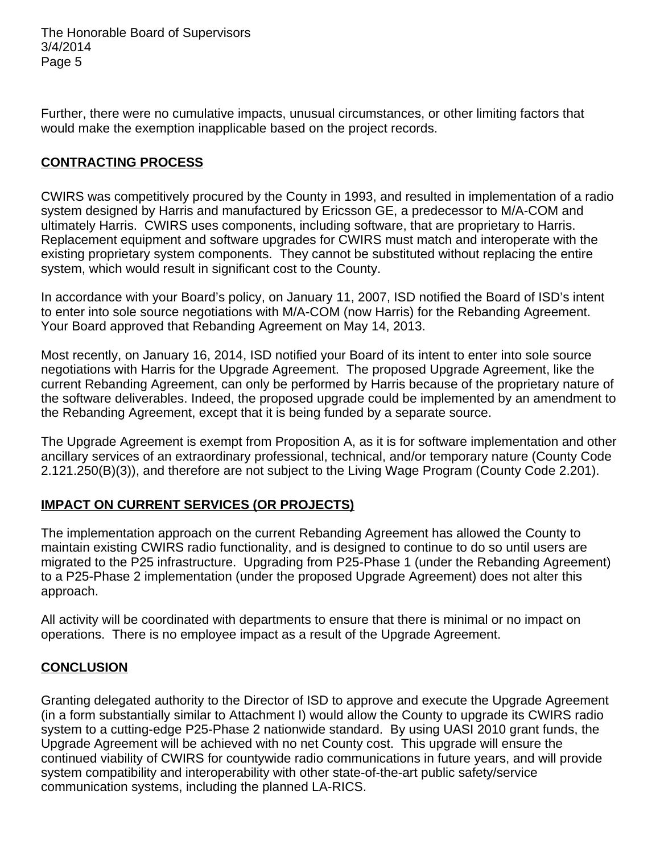Further, there were no cumulative impacts, unusual circumstances, or other limiting factors that would make the exemption inapplicable based on the project records.

#### **CONTRACTING PROCESS**

CWIRS was competitively procured by the County in 1993, and resulted in implementation of a radio system designed by Harris and manufactured by Ericsson GE, a predecessor to M/A-COM and ultimately Harris. CWIRS uses components, including software, that are proprietary to Harris. Replacement equipment and software upgrades for CWIRS must match and interoperate with the existing proprietary system components. They cannot be substituted without replacing the entire system, which would result in significant cost to the County.

In accordance with your Board's policy, on January 11, 2007, ISD notified the Board of ISD's intent to enter into sole source negotiations with M/A-COM (now Harris) for the Rebanding Agreement. Your Board approved that Rebanding Agreement on May 14, 2013.

Most recently, on January 16, 2014, ISD notified your Board of its intent to enter into sole source negotiations with Harris for the Upgrade Agreement. The proposed Upgrade Agreement, like the current Rebanding Agreement, can only be performed by Harris because of the proprietary nature of the software deliverables. Indeed, the proposed upgrade could be implemented by an amendment to the Rebanding Agreement, except that it is being funded by a separate source.

The Upgrade Agreement is exempt from Proposition A, as it is for software implementation and other ancillary services of an extraordinary professional, technical, and/or temporary nature (County Code 2.121.250(B)(3)), and therefore are not subject to the Living Wage Program (County Code 2.201).

#### **IMPACT ON CURRENT SERVICES (OR PROJECTS)**

The implementation approach on the current Rebanding Agreement has allowed the County to maintain existing CWIRS radio functionality, and is designed to continue to do so until users are migrated to the P25 infrastructure. Upgrading from P25-Phase 1 (under the Rebanding Agreement) to a P25-Phase 2 implementation (under the proposed Upgrade Agreement) does not alter this approach.

All activity will be coordinated with departments to ensure that there is minimal or no impact on operations. There is no employee impact as a result of the Upgrade Agreement.

#### **CONCLUSION**

Granting delegated authority to the Director of ISD to approve and execute the Upgrade Agreement (in a form substantially similar to Attachment I) would allow the County to upgrade its CWIRS radio system to a cutting-edge P25-Phase 2 nationwide standard. By using UASI 2010 grant funds, the Upgrade Agreement will be achieved with no net County cost. This upgrade will ensure the continued viability of CWIRS for countywide radio communications in future years, and will provide system compatibility and interoperability with other state-of-the-art public safety/service communication systems, including the planned LA-RICS.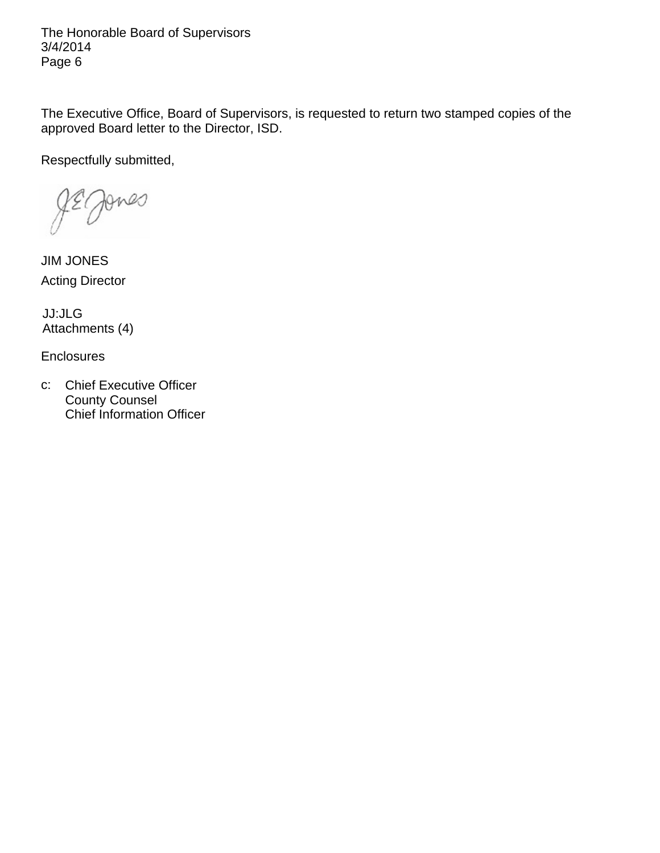The Executive Office, Board of Supervisors, is requested to return two stamped copies of the approved Board letter to the Director, ISD.

Respectfully submitted,

Jones

JIM JONES Acting Director

JJ:JLG Attachments (4)

**Enclosures** 

c: Chief Executive Officer County Counsel Chief Information Officer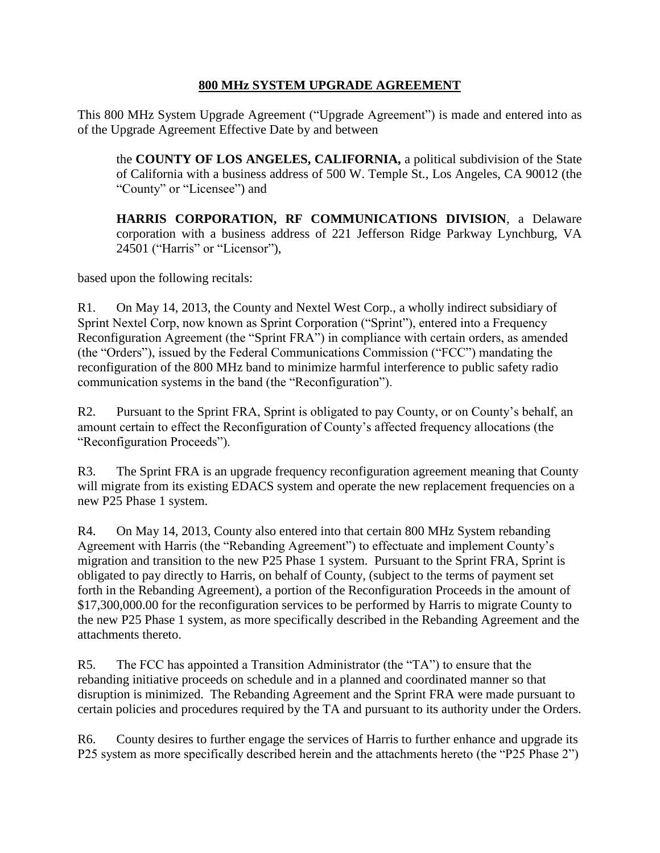#### **800 MHz SYSTEM UPGRADE AGREEMENT**

This 800 MHz System Upgrade Agreement ("Upgrade Agreement") is made and entered into as of the Upgrade Agreement Effective Date by and between

the **COUNTY OF LOS ANGELES, CALIFORNIA,** a political subdivision of the State of California with a business address of 500 W. Temple St., Los Angeles, CA 90012 (the "County" or "Licensee") and

**HARRIS CORPORATION, RF COMMUNICATIONS DIVISION**, a Delaware corporation with a business address of 221 Jefferson Ridge Parkway Lynchburg, VA 24501 ("Harris" or "Licensor"),

based upon the following recitals:

R1. On May 14, 2013, the County and Nextel West Corp., a wholly indirect subsidiary of Sprint Nextel Corp, now known as Sprint Corporation ("Sprint"), entered into a Frequency Reconfiguration Agreement (the "Sprint FRA") in compliance with certain orders, as amended (the "Orders"), issued by the Federal Communications Commission ("FCC") mandating the reconfiguration of the 800 MHz band to minimize harmful interference to public safety radio communication systems in the band (the "Reconfiguration").

R2. Pursuant to the Sprint FRA, Sprint is obligated to pay County, or on County's behalf, an amount certain to effect the Reconfiguration of County's affected frequency allocations (the "Reconfiguration Proceeds").

R3. The Sprint FRA is an upgrade frequency reconfiguration agreement meaning that County will migrate from its existing EDACS system and operate the new replacement frequencies on a new P25 Phase 1 system.

R4. On May 14, 2013, County also entered into that certain 800 MHz System rebanding Agreement with Harris (the "Rebanding Agreement") to effectuate and implement County's migration and transition to the new P25 Phase 1 system. Pursuant to the Sprint FRA, Sprint is obligated to pay directly to Harris, on behalf of County, (subject to the terms of payment set forth in the Rebanding Agreement), a portion of the Reconfiguration Proceeds in the amount of \$17,300,000.00 for the reconfiguration services to be performed by Harris to migrate County to the new P25 Phase 1 system, as more specifically described in the Rebanding Agreement and the attachments thereto.

R5. The FCC has appointed a Transition Administrator (the "TA") to ensure that the rebanding initiative proceeds on schedule and in a planned and coordinated manner so that disruption is minimized. The Rebanding Agreement and the Sprint FRA were made pursuant to certain policies and procedures required by the TA and pursuant to its authority under the Orders.

R6. County desires to further engage the services of Harris to further enhance and upgrade its P25 system as more specifically described herein and the attachments hereto (the "P25 Phase 2")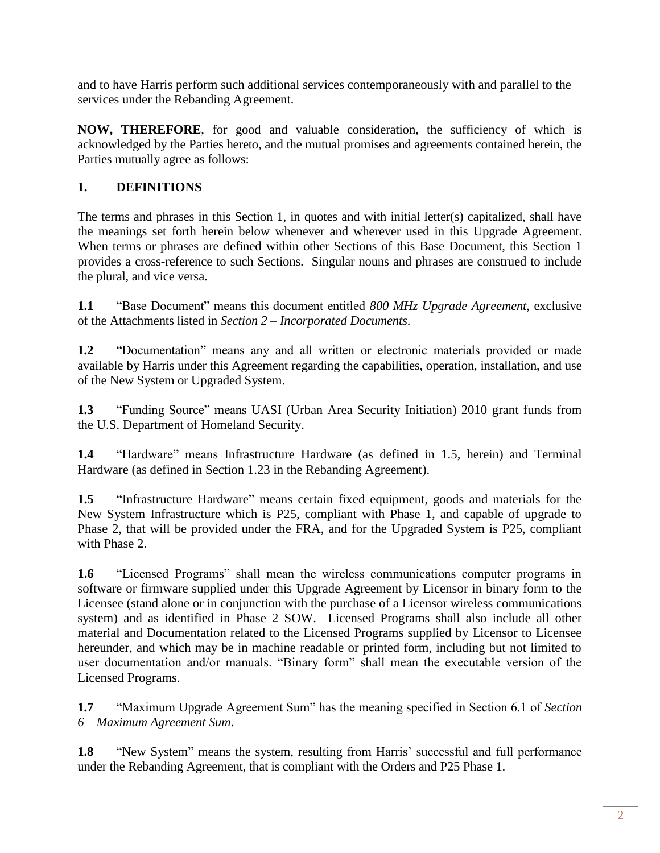and to have Harris perform such additional services contemporaneously with and parallel to the services under the Rebanding Agreement.

**NOW, THEREFORE**, for good and valuable consideration, the sufficiency of which is acknowledged by the Parties hereto, and the mutual promises and agreements contained herein, the Parties mutually agree as follows:

### **1. DEFINITIONS**

The terms and phrases in this Section 1, in quotes and with initial letter(s) capitalized, shall have the meanings set forth herein below whenever and wherever used in this Upgrade Agreement. When terms or phrases are defined within other Sections of this Base Document, this Section 1 provides a cross-reference to such Sections. Singular nouns and phrases are construed to include the plural, and vice versa.

**1.1** "Base Document" means this document entitled *800 MHz Upgrade Agreement*, exclusive of the Attachments listed in *Section 2 – Incorporated Documents*.

**1.2** "Documentation" means any and all written or electronic materials provided or made available by Harris under this Agreement regarding the capabilities, operation, installation, and use of the New System or Upgraded System.

**1.3** "Funding Source" means UASI (Urban Area Security Initiation) 2010 grant funds from the U.S. Department of Homeland Security.

**1.4** "Hardware" means Infrastructure Hardware (as defined in 1.5, herein) and Terminal Hardware (as defined in Section 1.23 in the Rebanding Agreement).

**1.5** "Infrastructure Hardware" means certain fixed equipment, goods and materials for the New System Infrastructure which is P25, compliant with Phase 1, and capable of upgrade to Phase 2, that will be provided under the FRA, and for the Upgraded System is P25, compliant with Phase 2.

**1.6** "Licensed Programs" shall mean the wireless communications computer programs in software or firmware supplied under this Upgrade Agreement by Licensor in binary form to the Licensee (stand alone or in conjunction with the purchase of a Licensor wireless communications system) and as identified in Phase 2 SOW. Licensed Programs shall also include all other material and Documentation related to the Licensed Programs supplied by Licensor to Licensee hereunder, and which may be in machine readable or printed form, including but not limited to user documentation and/or manuals. "Binary form" shall mean the executable version of the Licensed Programs.

**1.7** "Maximum Upgrade Agreement Sum" has the meaning specified in Section 6.1 of *Section 6 – Maximum Agreement Sum*.

**1.8** "New System" means the system, resulting from Harris' successful and full performance under the Rebanding Agreement, that is compliant with the Orders and P25 Phase 1.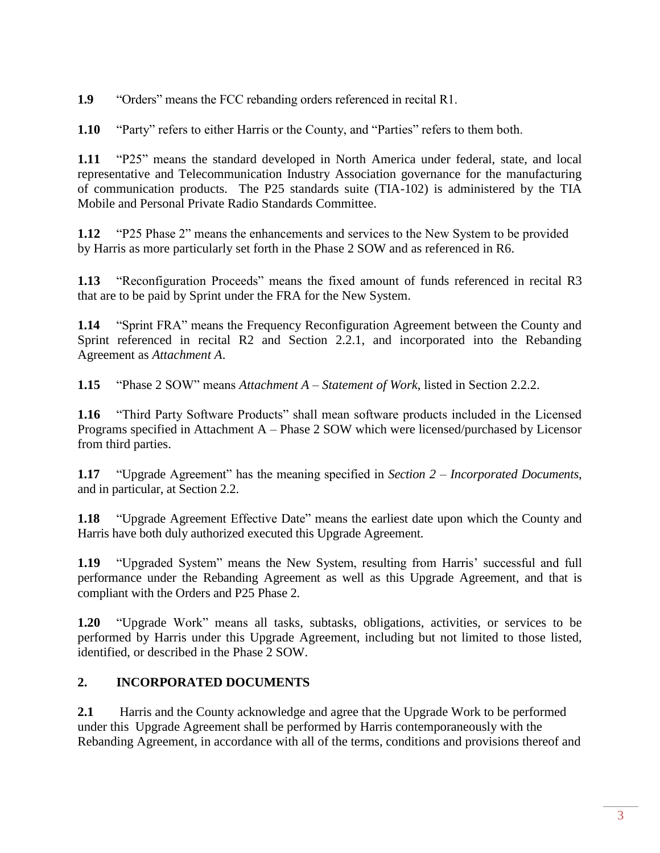**1.9** "Orders" means the FCC rebanding orders referenced in recital R1.

**1.10** "Party" refers to either Harris or the County, and "Parties" refers to them both.

**1.11** "P25" means the standard developed in North America under federal, state, and local representative and Telecommunication Industry Association governance for the manufacturing of communication products. The P25 standards suite (TIA-102) is administered by the TIA Mobile and Personal Private Radio Standards Committee.

**1.12** "P25 Phase 2" means the enhancements and services to the New System to be provided by Harris as more particularly set forth in the Phase 2 SOW and as referenced in R6.

**1.13** "Reconfiguration Proceeds" means the fixed amount of funds referenced in recital R3 that are to be paid by Sprint under the FRA for the New System.

**1.14** "Sprint FRA" means the Frequency Reconfiguration Agreement between the County and Sprint referenced in recital R2 and Section 2.2.1, and incorporated into the Rebanding Agreement as *Attachment A*.

**1.15** "Phase 2 SOW" means *Attachment A – Statement of Work*, listed in Section 2.2.2.

**1.16** "Third Party Software Products" shall mean software products included in the Licensed Programs specified in Attachment A – Phase 2 SOW which were licensed/purchased by Licensor from third parties.

**1.17** "Upgrade Agreement" has the meaning specified in *Section 2 – Incorporated Documents*, and in particular, at Section 2.2.

**1.18** "Upgrade Agreement Effective Date" means the earliest date upon which the County and Harris have both duly authorized executed this Upgrade Agreement.

**1.19** "Upgraded System" means the New System, resulting from Harris' successful and full performance under the Rebanding Agreement as well as this Upgrade Agreement, and that is compliant with the Orders and P25 Phase 2.

**1.20** "Upgrade Work" means all tasks, subtasks, obligations, activities, or services to be performed by Harris under this Upgrade Agreement, including but not limited to those listed, identified, or described in the Phase 2 SOW.

#### **2. INCORPORATED DOCUMENTS**

**2.1** Harris and the County acknowledge and agree that the Upgrade Work to be performed under this Upgrade Agreement shall be performed by Harris contemporaneously with the Rebanding Agreement, in accordance with all of the terms, conditions and provisions thereof and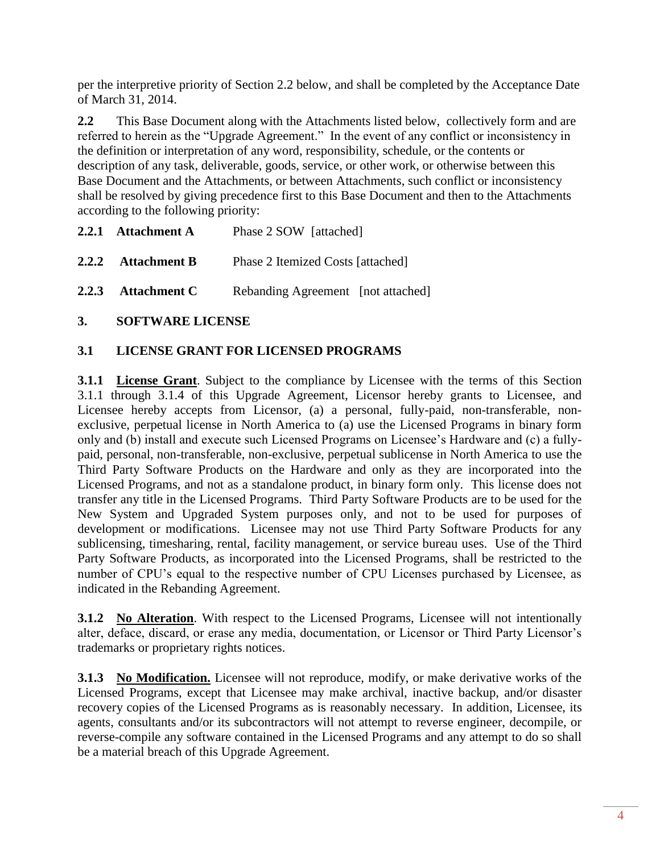per the interpretive priority of Section 2.2 below, and shall be completed by the Acceptance Date of March 31, 2014.

**2.2** This Base Document along with the Attachments listed below, collectively form and are referred to herein as the "Upgrade Agreement." In the event of any conflict or inconsistency in the definition or interpretation of any word, responsibility, schedule, or the contents or description of any task, deliverable, goods, service, or other work, or otherwise between this Base Document and the Attachments, or between Attachments, such conflict or inconsistency shall be resolved by giving precedence first to this Base Document and then to the Attachments according to the following priority:

**2.2.1 Attachment A** Phase 2 SOW [attached] **2.2.2 Attachment B** Phase 2 Itemized Costs [attached]

**2.2.3 Attachment C** Rebanding Agreement [not attached]

#### **3. SOFTWARE LICENSE**

#### **3.1 LICENSE GRANT FOR LICENSED PROGRAMS**

**3.1.1 License Grant**. Subject to the compliance by Licensee with the terms of this Section 3.1.1 through 3.1.4 of this Upgrade Agreement, Licensor hereby grants to Licensee, and Licensee hereby accepts from Licensor, (a) a personal, fully-paid, non-transferable, nonexclusive, perpetual license in North America to (a) use the Licensed Programs in binary form only and (b) install and execute such Licensed Programs on Licensee's Hardware and (c) a fullypaid, personal, non-transferable, non-exclusive, perpetual sublicense in North America to use the Third Party Software Products on the Hardware and only as they are incorporated into the Licensed Programs, and not as a standalone product, in binary form only. This license does not transfer any title in the Licensed Programs. Third Party Software Products are to be used for the New System and Upgraded System purposes only, and not to be used for purposes of development or modifications. Licensee may not use Third Party Software Products for any sublicensing, timesharing, rental, facility management, or service bureau uses. Use of the Third Party Software Products, as incorporated into the Licensed Programs, shall be restricted to the number of CPU's equal to the respective number of CPU Licenses purchased by Licensee, as indicated in the Rebanding Agreement.

**3.1.2 No Alteration**. With respect to the Licensed Programs, Licensee will not intentionally alter, deface, discard, or erase any media, documentation, or Licensor or Third Party Licensor's trademarks or proprietary rights notices.

**3.1.3** No Modification. Licensee will not reproduce, modify, or make derivative works of the Licensed Programs, except that Licensee may make archival, inactive backup, and/or disaster recovery copies of the Licensed Programs as is reasonably necessary. In addition, Licensee, its agents, consultants and/or its subcontractors will not attempt to reverse engineer, decompile, or reverse-compile any software contained in the Licensed Programs and any attempt to do so shall be a material breach of this Upgrade Agreement.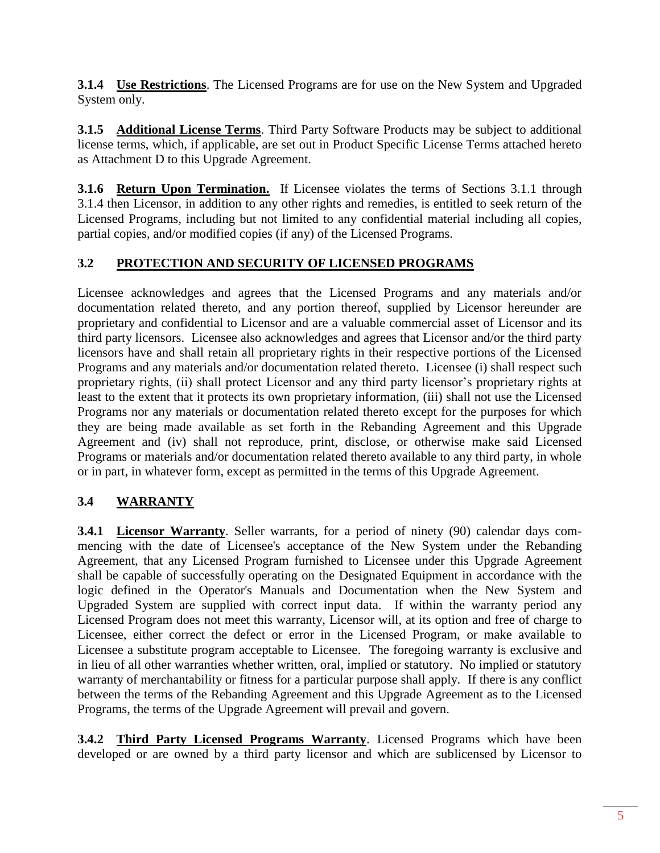**3.1.4 Use Restrictions**. The Licensed Programs are for use on the New System and Upgraded System only.

**3.1.5 Additional License Terms**. Third Party Software Products may be subject to additional license terms, which, if applicable, are set out in Product Specific License Terms attached hereto as Attachment D to this Upgrade Agreement.

**3.1.6 Return Upon Termination.** If Licensee violates the terms of Sections 3.1.1 through 3.1.4 then Licensor, in addition to any other rights and remedies, is entitled to seek return of the Licensed Programs, including but not limited to any confidential material including all copies, partial copies, and/or modified copies (if any) of the Licensed Programs.

### **3.2 PROTECTION AND SECURITY OF LICENSED PROGRAMS**

Licensee acknowledges and agrees that the Licensed Programs and any materials and/or documentation related thereto, and any portion thereof, supplied by Licensor hereunder are proprietary and confidential to Licensor and are a valuable commercial asset of Licensor and its third party licensors. Licensee also acknowledges and agrees that Licensor and/or the third party licensors have and shall retain all proprietary rights in their respective portions of the Licensed Programs and any materials and/or documentation related thereto. Licensee (i) shall respect such proprietary rights, (ii) shall protect Licensor and any third party licensor's proprietary rights at least to the extent that it protects its own proprietary information, (iii) shall not use the Licensed Programs nor any materials or documentation related thereto except for the purposes for which they are being made available as set forth in the Rebanding Agreement and this Upgrade Agreement and (iv) shall not reproduce, print, disclose, or otherwise make said Licensed Programs or materials and/or documentation related thereto available to any third party, in whole or in part, in whatever form, except as permitted in the terms of this Upgrade Agreement.

### **3.4 WARRANTY**

**3.4.1 Licensor Warranty**. Seller warrants, for a period of ninety (90) calendar days commencing with the date of Licensee's acceptance of the New System under the Rebanding Agreement, that any Licensed Program furnished to Licensee under this Upgrade Agreement shall be capable of successfully operating on the Designated Equipment in accordance with the logic defined in the Operator's Manuals and Documentation when the New System and Upgraded System are supplied with correct input data. If within the warranty period any Licensed Program does not meet this warranty, Licensor will, at its option and free of charge to Licensee, either correct the defect or error in the Licensed Program, or make available to Licensee a substitute program acceptable to Licensee. The foregoing warranty is exclusive and in lieu of all other warranties whether written, oral, implied or statutory. No implied or statutory warranty of merchantability or fitness for a particular purpose shall apply. If there is any conflict between the terms of the Rebanding Agreement and this Upgrade Agreement as to the Licensed Programs, the terms of the Upgrade Agreement will prevail and govern.

**3.4.2 Third Party Licensed Programs Warranty**. Licensed Programs which have been developed or are owned by a third party licensor and which are sublicensed by Licensor to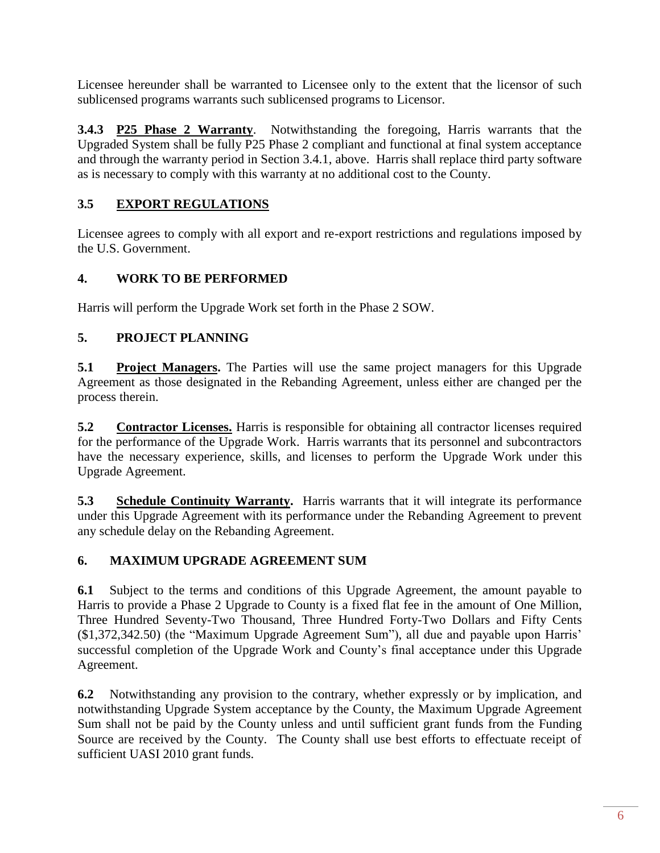Licensee hereunder shall be warranted to Licensee only to the extent that the licensor of such sublicensed programs warrants such sublicensed programs to Licensor.

**3.4.3 P25 Phase 2 Warranty**. Notwithstanding the foregoing, Harris warrants that the Upgraded System shall be fully P25 Phase 2 compliant and functional at final system acceptance and through the warranty period in Section 3.4.1, above. Harris shall replace third party software as is necessary to comply with this warranty at no additional cost to the County.

### **3.5 EXPORT REGULATIONS**

Licensee agrees to comply with all export and re-export restrictions and regulations imposed by the U.S. Government.

### **4. WORK TO BE PERFORMED**

Harris will perform the Upgrade Work set forth in the Phase 2 SOW.

### **5. PROJECT PLANNING**

**5.1 Project Managers.** The Parties will use the same project managers for this Upgrade Agreement as those designated in the Rebanding Agreement, unless either are changed per the process therein.

**5.2 Contractor Licenses.** Harris is responsible for obtaining all contractor licenses required for the performance of the Upgrade Work. Harris warrants that its personnel and subcontractors have the necessary experience, skills, and licenses to perform the Upgrade Work under this Upgrade Agreement.

**5.3 Schedule Continuity Warranty.** Harris warrants that it will integrate its performance under this Upgrade Agreement with its performance under the Rebanding Agreement to prevent any schedule delay on the Rebanding Agreement.

#### **6. MAXIMUM UPGRADE AGREEMENT SUM**

**6.1** Subject to the terms and conditions of this Upgrade Agreement, the amount payable to Harris to provide a Phase 2 Upgrade to County is a fixed flat fee in the amount of One Million, Three Hundred Seventy-Two Thousand, Three Hundred Forty-Two Dollars and Fifty Cents (\$1,372,342.50) (the "Maximum Upgrade Agreement Sum"), all due and payable upon Harris' successful completion of the Upgrade Work and County's final acceptance under this Upgrade Agreement.

**6.2** Notwithstanding any provision to the contrary, whether expressly or by implication, and notwithstanding Upgrade System acceptance by the County, the Maximum Upgrade Agreement Sum shall not be paid by the County unless and until sufficient grant funds from the Funding Source are received by the County. The County shall use best efforts to effectuate receipt of sufficient UASI 2010 grant funds.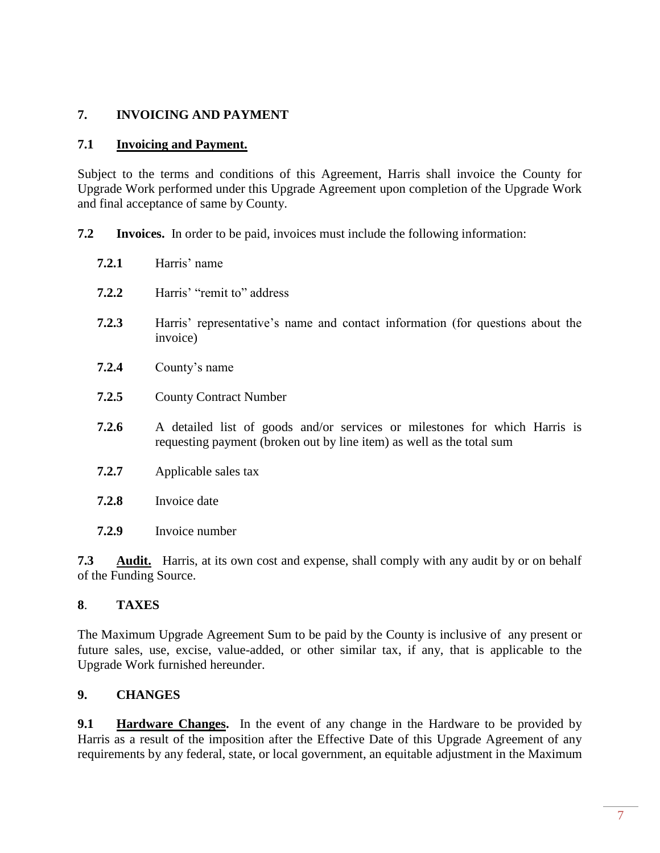#### **7. INVOICING AND PAYMENT**

#### **7.1 Invoicing and Payment.**

Subject to the terms and conditions of this Agreement, Harris shall invoice the County for Upgrade Work performed under this Upgrade Agreement upon completion of the Upgrade Work and final acceptance of same by County.

- **7.2 Invoices.** In order to be paid, invoices must include the following information:
	- **7.2.1** Harris' name
	- **7.2.2** Harris' "remit to" address
	- **7.2.3** Harris' representative's name and contact information (for questions about the invoice)
	- **7.2.4** County's name
	- **7.2.5** County Contract Number
	- **7.2.6** A detailed list of goods and/or services or milestones for which Harris is requesting payment (broken out by line item) as well as the total sum
	- **7.2.7** Applicable sales tax
	- **7.2.8** Invoice date
	- **7.2.9** Invoice number

**7.3 Audit.** Harris, at its own cost and expense, shall comply with any audit by or on behalf of the Funding Source.

#### **8**. **TAXES**

The Maximum Upgrade Agreement Sum to be paid by the County is inclusive of any present or future sales, use, excise, value-added, or other similar tax, if any, that is applicable to the Upgrade Work furnished hereunder.

#### **9. CHANGES**

**9.1 Hardware Changes.** In the event of any change in the Hardware to be provided by Harris as a result of the imposition after the Effective Date of this Upgrade Agreement of any requirements by any federal, state, or local government, an equitable adjustment in the Maximum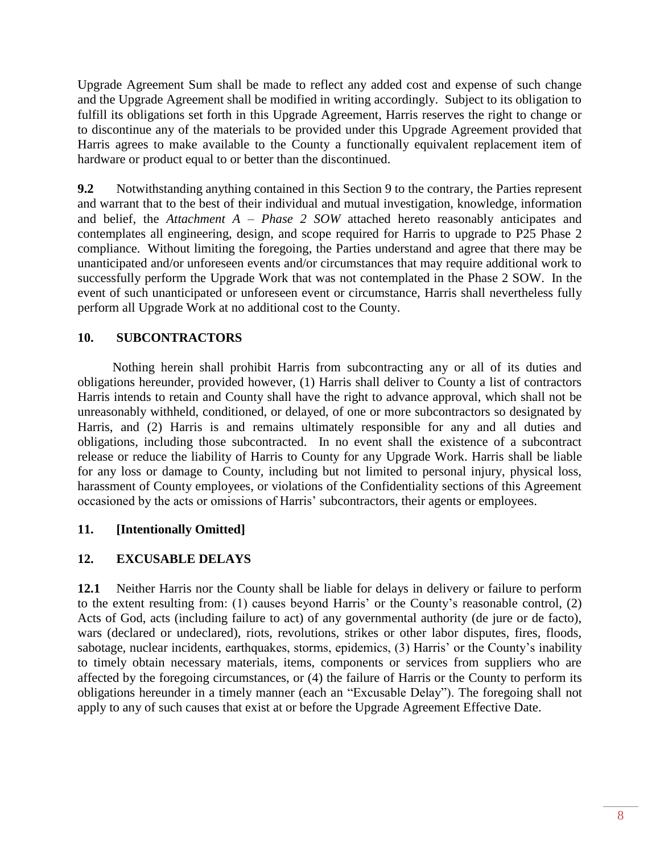Upgrade Agreement Sum shall be made to reflect any added cost and expense of such change and the Upgrade Agreement shall be modified in writing accordingly. Subject to its obligation to fulfill its obligations set forth in this Upgrade Agreement, Harris reserves the right to change or to discontinue any of the materials to be provided under this Upgrade Agreement provided that Harris agrees to make available to the County a functionally equivalent replacement item of hardware or product equal to or better than the discontinued.

**9.2** Notwithstanding anything contained in this Section 9 to the contrary, the Parties represent and warrant that to the best of their individual and mutual investigation, knowledge, information and belief, the *Attachment A – Phase 2 SOW* attached hereto reasonably anticipates and contemplates all engineering, design, and scope required for Harris to upgrade to P25 Phase 2 compliance. Without limiting the foregoing, the Parties understand and agree that there may be unanticipated and/or unforeseen events and/or circumstances that may require additional work to successfully perform the Upgrade Work that was not contemplated in the Phase 2 SOW. In the event of such unanticipated or unforeseen event or circumstance, Harris shall nevertheless fully perform all Upgrade Work at no additional cost to the County.

### **10. SUBCONTRACTORS**

Nothing herein shall prohibit Harris from subcontracting any or all of its duties and obligations hereunder, provided however, (1) Harris shall deliver to County a list of contractors Harris intends to retain and County shall have the right to advance approval, which shall not be unreasonably withheld, conditioned, or delayed, of one or more subcontractors so designated by Harris, and (2) Harris is and remains ultimately responsible for any and all duties and obligations, including those subcontracted. In no event shall the existence of a subcontract release or reduce the liability of Harris to County for any Upgrade Work. Harris shall be liable for any loss or damage to County, including but not limited to personal injury, physical loss, harassment of County employees, or violations of the Confidentiality sections of this Agreement occasioned by the acts or omissions of Harris' subcontractors, their agents or employees.

#### **11. [Intentionally Omitted]**

#### **12. EXCUSABLE DELAYS**

**12.1** Neither Harris nor the County shall be liable for delays in delivery or failure to perform to the extent resulting from: (1) causes beyond Harris' or the County's reasonable control, (2) Acts of God, acts (including failure to act) of any governmental authority (de jure or de facto), wars (declared or undeclared), riots, revolutions, strikes or other labor disputes, fires, floods, sabotage, nuclear incidents, earthquakes, storms, epidemics, (3) Harris' or the County's inability to timely obtain necessary materials, items, components or services from suppliers who are affected by the foregoing circumstances, or (4) the failure of Harris or the County to perform its obligations hereunder in a timely manner (each an "Excusable Delay"). The foregoing shall not apply to any of such causes that exist at or before the Upgrade Agreement Effective Date.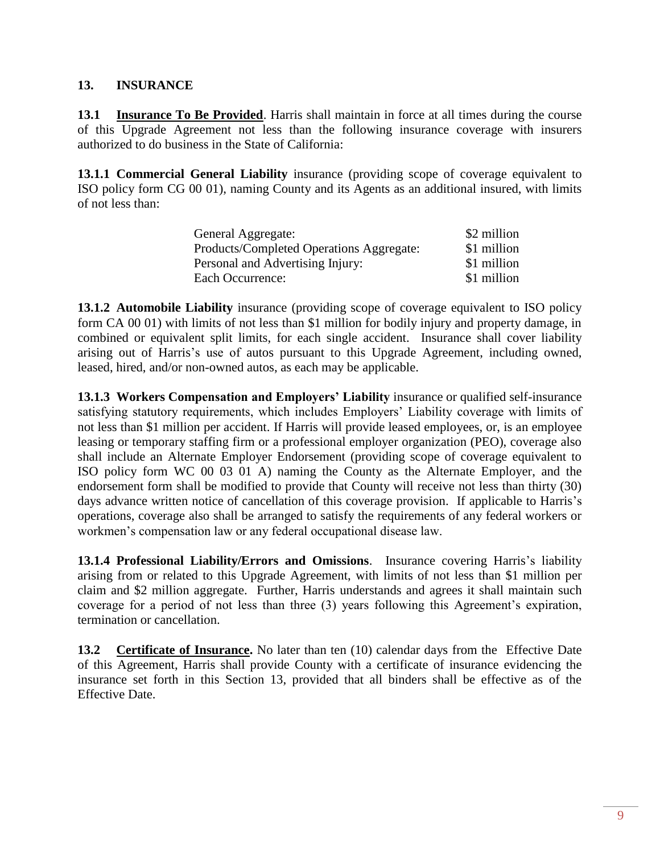#### **13. INSURANCE**

**13.1 Insurance To Be Provided**. Harris shall maintain in force at all times during the course of this Upgrade Agreement not less than the following insurance coverage with insurers authorized to do business in the State of California:

**13.1.1 Commercial General Liability** insurance (providing scope of coverage equivalent to ISO policy form CG 00 01), naming County and its Agents as an additional insured, with limits of not less than:

| General Aggregate:                       | \$2 million |
|------------------------------------------|-------------|
| Products/Completed Operations Aggregate: | \$1 million |
| Personal and Advertising Injury:         | \$1 million |
| Each Occurrence:                         | \$1 million |

**13.1.2 Automobile Liability** insurance (providing scope of coverage equivalent to ISO policy form CA 00 01) with limits of not less than \$1 million for bodily injury and property damage, in combined or equivalent split limits, for each single accident. Insurance shall cover liability arising out of Harris's use of autos pursuant to this Upgrade Agreement, including owned, leased, hired, and/or non-owned autos, as each may be applicable.

**13.1.3 Workers Compensation and Employers' Liability** insurance or qualified self-insurance satisfying statutory requirements, which includes Employers' Liability coverage with limits of not less than \$1 million per accident. If Harris will provide leased employees, or, is an employee leasing or temporary staffing firm or a professional employer organization (PEO), coverage also shall include an Alternate Employer Endorsement (providing scope of coverage equivalent to ISO policy form WC 00 03 01 A) naming the County as the Alternate Employer, and the endorsement form shall be modified to provide that County will receive not less than thirty (30) days advance written notice of cancellation of this coverage provision. If applicable to Harris's operations, coverage also shall be arranged to satisfy the requirements of any federal workers or workmen's compensation law or any federal occupational disease law.

**13.1.4 Professional Liability/Errors and Omissions**. Insurance covering Harris's liability arising from or related to this Upgrade Agreement, with limits of not less than \$1 million per claim and \$2 million aggregate. Further, Harris understands and agrees it shall maintain such coverage for a period of not less than three (3) years following this Agreement's expiration, termination or cancellation.

**13.2 Certificate of Insurance.** No later than ten (10) calendar days from the Effective Date of this Agreement, Harris shall provide County with a certificate of insurance evidencing the insurance set forth in this Section 13, provided that all binders shall be effective as of the Effective Date.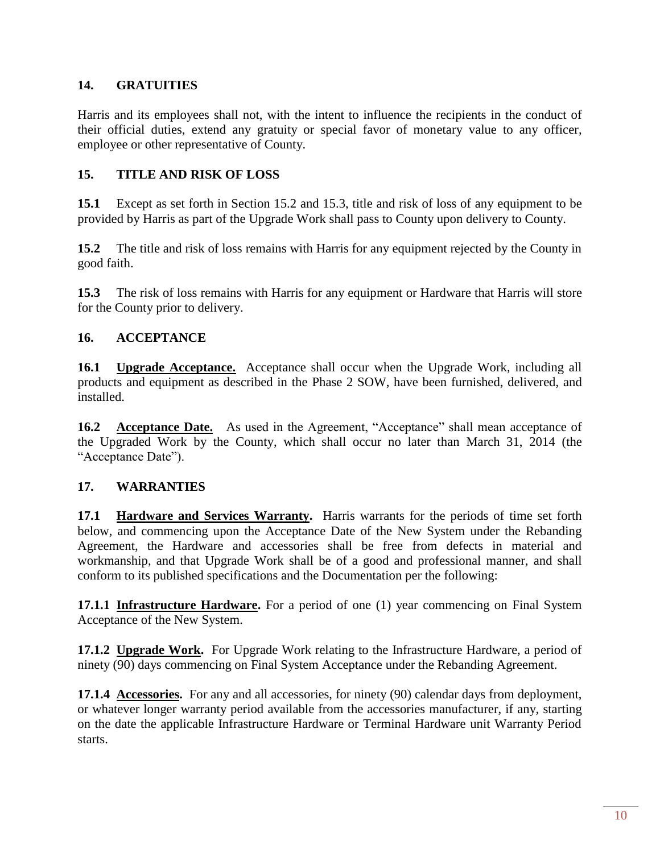#### **14. GRATUITIES**

Harris and its employees shall not, with the intent to influence the recipients in the conduct of their official duties, extend any gratuity or special favor of monetary value to any officer, employee or other representative of County.

#### **15. TITLE AND RISK OF LOSS**

**15.1** Except as set forth in Section 15.2 and 15.3, title and risk of loss of any equipment to be provided by Harris as part of the Upgrade Work shall pass to County upon delivery to County.

**15.2** The title and risk of loss remains with Harris for any equipment rejected by the County in good faith.

**15.3** The risk of loss remains with Harris for any equipment or Hardware that Harris will store for the County prior to delivery.

#### **16. ACCEPTANCE**

**16.1 Upgrade Acceptance.** Acceptance shall occur when the Upgrade Work, including all products and equipment as described in the Phase 2 SOW, have been furnished, delivered, and installed.

**16.2 Acceptance Date.** As used in the Agreement, "Acceptance" shall mean acceptance of the Upgraded Work by the County, which shall occur no later than March 31, 2014 (the "Acceptance Date").

#### **17. WARRANTIES**

**17.1 Hardware and Services Warranty.** Harris warrants for the periods of time set forth below, and commencing upon the Acceptance Date of the New System under the Rebanding Agreement, the Hardware and accessories shall be free from defects in material and workmanship, and that Upgrade Work shall be of a good and professional manner, and shall conform to its published specifications and the Documentation per the following:

**17.1.1 Infrastructure Hardware.** For a period of one (1) year commencing on Final System Acceptance of the New System.

**17.1.2 Upgrade Work.** For Upgrade Work relating to the Infrastructure Hardware, a period of ninety (90) days commencing on Final System Acceptance under the Rebanding Agreement.

**17.1.4 Accessories.** For any and all accessories, for ninety (90) calendar days from deployment, or whatever longer warranty period available from the accessories manufacturer, if any, starting on the date the applicable Infrastructure Hardware or Terminal Hardware unit Warranty Period starts.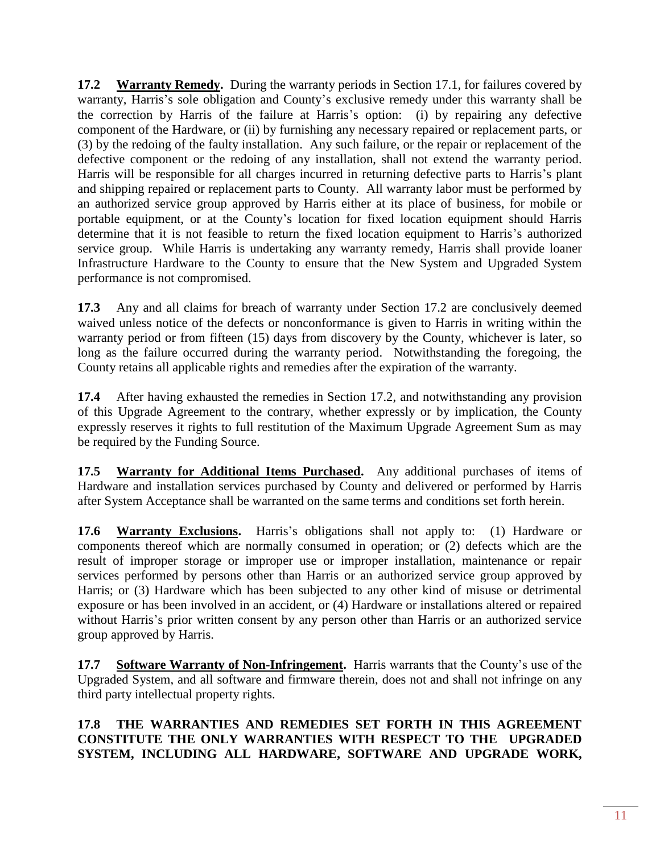**17.2 Warranty Remedy.** During the warranty periods in Section 17.1, for failures covered by warranty, Harris's sole obligation and County's exclusive remedy under this warranty shall be the correction by Harris of the failure at Harris's option: (i) by repairing any defective component of the Hardware, or (ii) by furnishing any necessary repaired or replacement parts, or (3) by the redoing of the faulty installation. Any such failure, or the repair or replacement of the defective component or the redoing of any installation, shall not extend the warranty period. Harris will be responsible for all charges incurred in returning defective parts to Harris's plant and shipping repaired or replacement parts to County. All warranty labor must be performed by an authorized service group approved by Harris either at its place of business, for mobile or portable equipment, or at the County's location for fixed location equipment should Harris determine that it is not feasible to return the fixed location equipment to Harris's authorized service group. While Harris is undertaking any warranty remedy, Harris shall provide loaner Infrastructure Hardware to the County to ensure that the New System and Upgraded System performance is not compromised.

**17.3** Any and all claims for breach of warranty under Section 17.2 are conclusively deemed waived unless notice of the defects or nonconformance is given to Harris in writing within the warranty period or from fifteen (15) days from discovery by the County, whichever is later, so long as the failure occurred during the warranty period. Notwithstanding the foregoing, the County retains all applicable rights and remedies after the expiration of the warranty.

**17.4** After having exhausted the remedies in Section 17.2, and notwithstanding any provision of this Upgrade Agreement to the contrary, whether expressly or by implication, the County expressly reserves it rights to full restitution of the Maximum Upgrade Agreement Sum as may be required by the Funding Source.

**17.5 Warranty for Additional Items Purchased.** Any additional purchases of items of Hardware and installation services purchased by County and delivered or performed by Harris after System Acceptance shall be warranted on the same terms and conditions set forth herein.

**17.6 Warranty Exclusions.** Harris's obligations shall not apply to: (1) Hardware or components thereof which are normally consumed in operation; or (2) defects which are the result of improper storage or improper use or improper installation, maintenance or repair services performed by persons other than Harris or an authorized service group approved by Harris; or (3) Hardware which has been subjected to any other kind of misuse or detrimental exposure or has been involved in an accident, or (4) Hardware or installations altered or repaired without Harris's prior written consent by any person other than Harris or an authorized service group approved by Harris.

**17.7 Software Warranty of Non-Infringement.** Harris warrants that the County's use of the Upgraded System, and all software and firmware therein, does not and shall not infringe on any third party intellectual property rights.

#### **17.8 THE WARRANTIES AND REMEDIES SET FORTH IN THIS AGREEMENT CONSTITUTE THE ONLY WARRANTIES WITH RESPECT TO THE UPGRADED SYSTEM, INCLUDING ALL HARDWARE, SOFTWARE AND UPGRADE WORK,**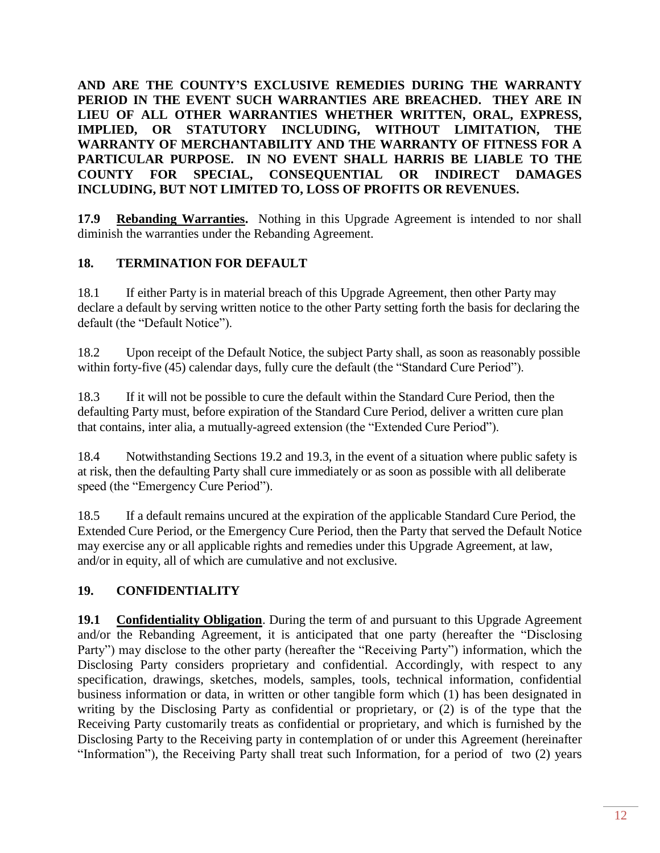**AND ARE THE COUNTY'S EXCLUSIVE REMEDIES DURING THE WARRANTY PERIOD IN THE EVENT SUCH WARRANTIES ARE BREACHED. THEY ARE IN LIEU OF ALL OTHER WARRANTIES WHETHER WRITTEN, ORAL, EXPRESS, IMPLIED, OR STATUTORY INCLUDING, WITHOUT LIMITATION, THE WARRANTY OF MERCHANTABILITY AND THE WARRANTY OF FITNESS FOR A PARTICULAR PURPOSE. IN NO EVENT SHALL HARRIS BE LIABLE TO THE COUNTY FOR SPECIAL, CONSEQUENTIAL OR INDIRECT DAMAGES INCLUDING, BUT NOT LIMITED TO, LOSS OF PROFITS OR REVENUES.** 

**17.9 Rebanding Warranties.** Nothing in this Upgrade Agreement is intended to nor shall diminish the warranties under the Rebanding Agreement.

#### **18. TERMINATION FOR DEFAULT**

18.1 If either Party is in material breach of this Upgrade Agreement, then other Party may declare a default by serving written notice to the other Party setting forth the basis for declaring the default (the "Default Notice").

18.2 Upon receipt of the Default Notice, the subject Party shall, as soon as reasonably possible within forty-five (45) calendar days, fully cure the default (the "Standard Cure Period").

18.3 If it will not be possible to cure the default within the Standard Cure Period, then the defaulting Party must, before expiration of the Standard Cure Period, deliver a written cure plan that contains, inter alia, a mutually-agreed extension (the "Extended Cure Period").

18.4 Notwithstanding Sections 19.2 and 19.3, in the event of a situation where public safety is at risk, then the defaulting Party shall cure immediately or as soon as possible with all deliberate speed (the "Emergency Cure Period").

18.5 If a default remains uncured at the expiration of the applicable Standard Cure Period, the Extended Cure Period, or the Emergency Cure Period, then the Party that served the Default Notice may exercise any or all applicable rights and remedies under this Upgrade Agreement, at law, and/or in equity, all of which are cumulative and not exclusive.

#### **19. CONFIDENTIALITY**

**19.1 Confidentiality Obligation**. During the term of and pursuant to this Upgrade Agreement and/or the Rebanding Agreement, it is anticipated that one party (hereafter the "Disclosing Party") may disclose to the other party (hereafter the "Receiving Party") information, which the Disclosing Party considers proprietary and confidential. Accordingly, with respect to any specification, drawings, sketches, models, samples, tools, technical information, confidential business information or data, in written or other tangible form which (1) has been designated in writing by the Disclosing Party as confidential or proprietary, or (2) is of the type that the Receiving Party customarily treats as confidential or proprietary, and which is furnished by the Disclosing Party to the Receiving party in contemplation of or under this Agreement (hereinafter "Information"), the Receiving Party shall treat such Information, for a period of two (2) years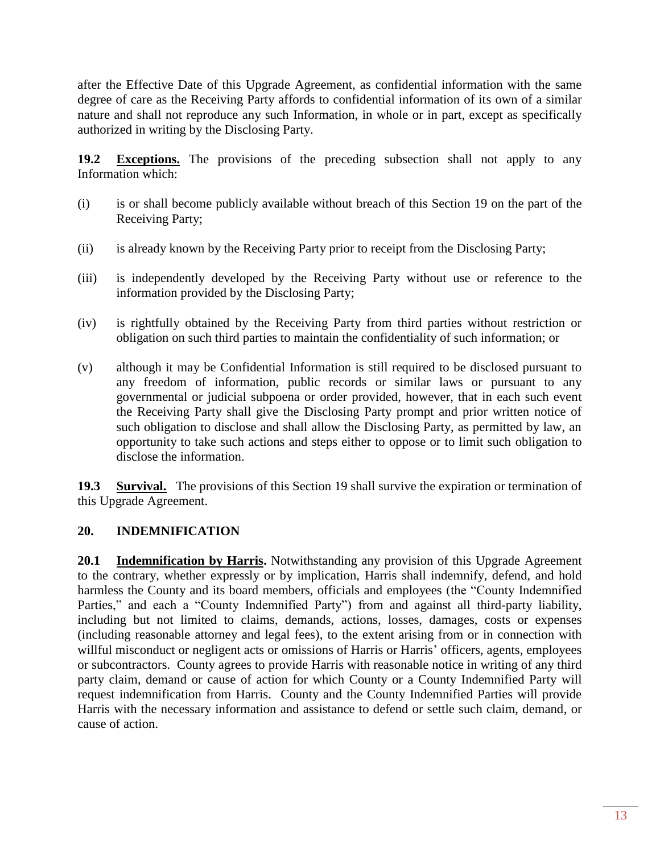after the Effective Date of this Upgrade Agreement, as confidential information with the same degree of care as the Receiving Party affords to confidential information of its own of a similar nature and shall not reproduce any such Information, in whole or in part, except as specifically authorized in writing by the Disclosing Party.

**19.2 Exceptions.** The provisions of the preceding subsection shall not apply to any Information which:

- (i) is or shall become publicly available without breach of this Section 19 on the part of the Receiving Party;
- (ii) is already known by the Receiving Party prior to receipt from the Disclosing Party;
- (iii) is independently developed by the Receiving Party without use or reference to the information provided by the Disclosing Party;
- (iv) is rightfully obtained by the Receiving Party from third parties without restriction or obligation on such third parties to maintain the confidentiality of such information; or
- (v) although it may be Confidential Information is still required to be disclosed pursuant to any freedom of information, public records or similar laws or pursuant to any governmental or judicial subpoena or order provided, however, that in each such event the Receiving Party shall give the Disclosing Party prompt and prior written notice of such obligation to disclose and shall allow the Disclosing Party, as permitted by law, an opportunity to take such actions and steps either to oppose or to limit such obligation to disclose the information.

**19.3 Survival.** The provisions of this Section 19 shall survive the expiration or termination of this Upgrade Agreement.

#### **20. INDEMNIFICATION**

**20.1 Indemnification by Harris.** Notwithstanding any provision of this Upgrade Agreement to the contrary, whether expressly or by implication, Harris shall indemnify, defend, and hold harmless the County and its board members, officials and employees (the "County Indemnified Parties," and each a "County Indemnified Party") from and against all third-party liability, including but not limited to claims, demands, actions, losses, damages, costs or expenses (including reasonable attorney and legal fees), to the extent arising from or in connection with willful misconduct or negligent acts or omissions of Harris or Harris' officers, agents, employees or subcontractors. County agrees to provide Harris with reasonable notice in writing of any third party claim, demand or cause of action for which County or a County Indemnified Party will request indemnification from Harris. County and the County Indemnified Parties will provide Harris with the necessary information and assistance to defend or settle such claim, demand, or cause of action.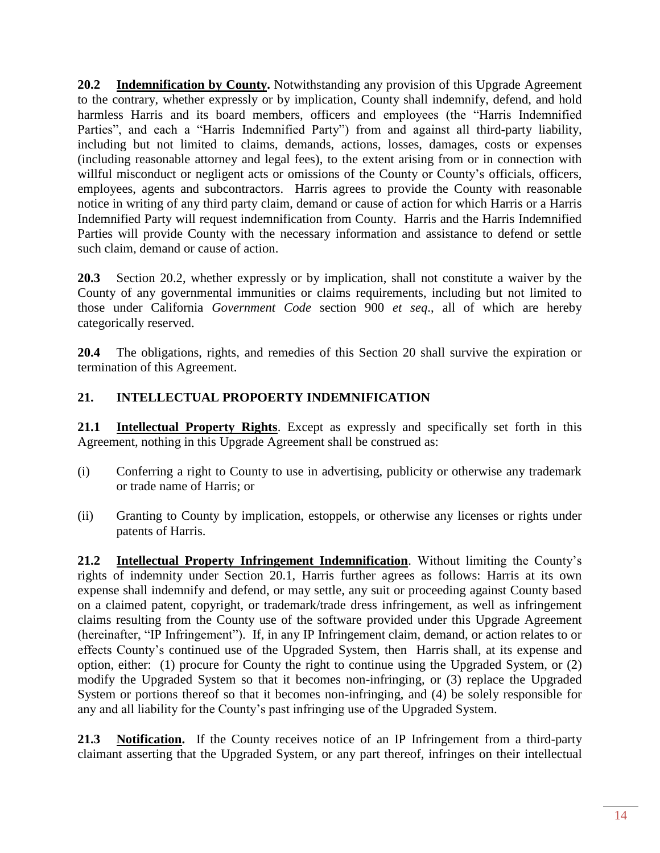**20.2 Indemnification by County.** Notwithstanding any provision of this Upgrade Agreement to the contrary, whether expressly or by implication, County shall indemnify, defend, and hold harmless Harris and its board members, officers and employees (the "Harris Indemnified Parties", and each a "Harris Indemnified Party") from and against all third-party liability, including but not limited to claims, demands, actions, losses, damages, costs or expenses (including reasonable attorney and legal fees), to the extent arising from or in connection with willful misconduct or negligent acts or omissions of the County or County's officials, officers, employees, agents and subcontractors. Harris agrees to provide the County with reasonable notice in writing of any third party claim, demand or cause of action for which Harris or a Harris Indemnified Party will request indemnification from County. Harris and the Harris Indemnified Parties will provide County with the necessary information and assistance to defend or settle such claim, demand or cause of action.

**20.3** Section 20.2, whether expressly or by implication, shall not constitute a waiver by the County of any governmental immunities or claims requirements, including but not limited to those under California *Government Code* section 900 *et seq*., all of which are hereby categorically reserved.

**20.4** The obligations, rights, and remedies of this Section 20 shall survive the expiration or termination of this Agreement.

#### **21. INTELLECTUAL PROPOERTY INDEMNIFICATION**

**21.1 Intellectual Property Rights**. Except as expressly and specifically set forth in this Agreement, nothing in this Upgrade Agreement shall be construed as:

- (i) Conferring a right to County to use in advertising, publicity or otherwise any trademark or trade name of Harris; or
- (ii) Granting to County by implication, estoppels, or otherwise any licenses or rights under patents of Harris.

**21.2 Intellectual Property Infringement Indemnification**. Without limiting the County's rights of indemnity under Section 20.1, Harris further agrees as follows: Harris at its own expense shall indemnify and defend, or may settle, any suit or proceeding against County based on a claimed patent, copyright, or trademark/trade dress infringement, as well as infringement claims resulting from the County use of the software provided under this Upgrade Agreement (hereinafter, "IP Infringement"). If, in any IP Infringement claim, demand, or action relates to or effects County's continued use of the Upgraded System, then Harris shall, at its expense and option, either: (1) procure for County the right to continue using the Upgraded System, or (2) modify the Upgraded System so that it becomes non-infringing, or (3) replace the Upgraded System or portions thereof so that it becomes non-infringing, and (4) be solely responsible for any and all liability for the County's past infringing use of the Upgraded System.

**21.3 Notification.** If the County receives notice of an IP Infringement from a third-party claimant asserting that the Upgraded System, or any part thereof, infringes on their intellectual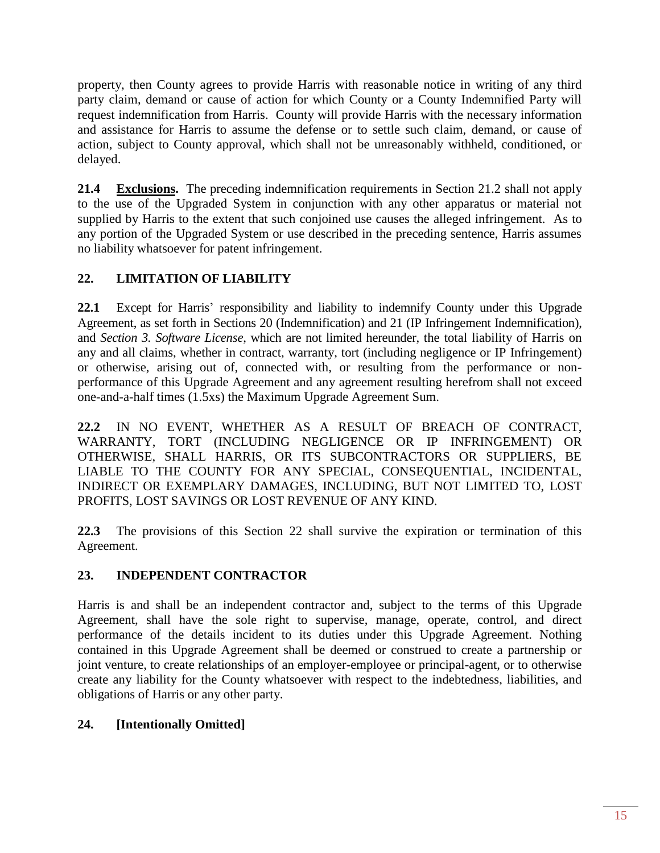property, then County agrees to provide Harris with reasonable notice in writing of any third party claim, demand or cause of action for which County or a County Indemnified Party will request indemnification from Harris. County will provide Harris with the necessary information and assistance for Harris to assume the defense or to settle such claim, demand, or cause of action, subject to County approval, which shall not be unreasonably withheld, conditioned, or delayed.

**21.4 Exclusions.** The preceding indemnification requirements in Section 21.2 shall not apply to the use of the Upgraded System in conjunction with any other apparatus or material not supplied by Harris to the extent that such conjoined use causes the alleged infringement. As to any portion of the Upgraded System or use described in the preceding sentence, Harris assumes no liability whatsoever for patent infringement.

### **22. LIMITATION OF LIABILITY**

**22.1** Except for Harris' responsibility and liability to indemnify County under this Upgrade Agreement, as set forth in Sections 20 (Indemnification) and 21 (IP Infringement Indemnification), and *Section 3. Software License*, which are not limited hereunder, the total liability of Harris on any and all claims, whether in contract, warranty, tort (including negligence or IP Infringement) or otherwise, arising out of, connected with, or resulting from the performance or nonperformance of this Upgrade Agreement and any agreement resulting herefrom shall not exceed one-and-a-half times (1.5xs) the Maximum Upgrade Agreement Sum.

**22.2** IN NO EVENT, WHETHER AS A RESULT OF BREACH OF CONTRACT, WARRANTY, TORT (INCLUDING NEGLIGENCE OR IP INFRINGEMENT) OR OTHERWISE, SHALL HARRIS, OR ITS SUBCONTRACTORS OR SUPPLIERS, BE LIABLE TO THE COUNTY FOR ANY SPECIAL, CONSEQUENTIAL, INCIDENTAL, INDIRECT OR EXEMPLARY DAMAGES, INCLUDING, BUT NOT LIMITED TO, LOST PROFITS, LOST SAVINGS OR LOST REVENUE OF ANY KIND.

**22.3** The provisions of this Section 22 shall survive the expiration or termination of this Agreement.

### **23. INDEPENDENT CONTRACTOR**

Harris is and shall be an independent contractor and, subject to the terms of this Upgrade Agreement, shall have the sole right to supervise, manage, operate, control, and direct performance of the details incident to its duties under this Upgrade Agreement. Nothing contained in this Upgrade Agreement shall be deemed or construed to create a partnership or joint venture, to create relationships of an employer-employee or principal-agent, or to otherwise create any liability for the County whatsoever with respect to the indebtedness, liabilities, and obligations of Harris or any other party.

### **24. [Intentionally Omitted]**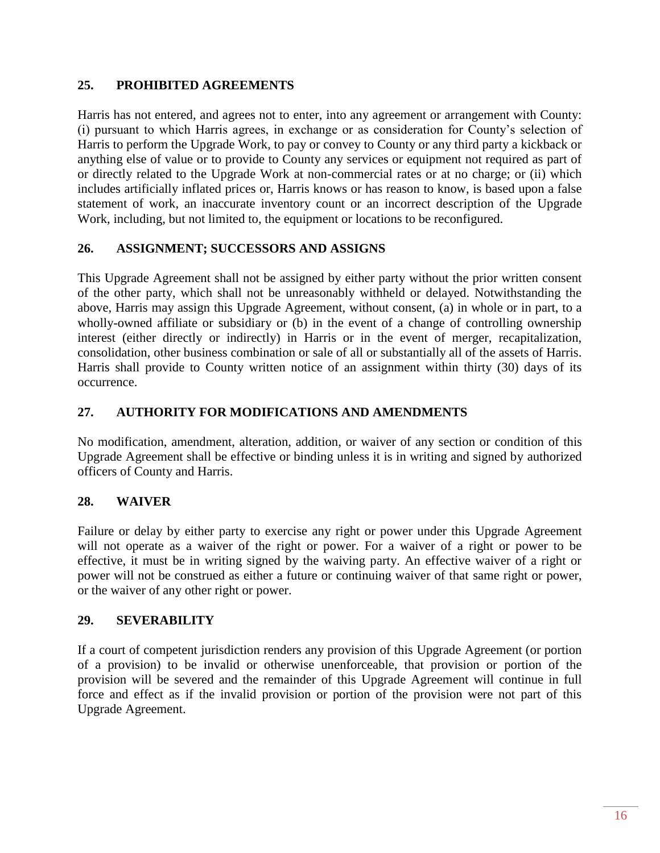#### **25. PROHIBITED AGREEMENTS**

Harris has not entered, and agrees not to enter, into any agreement or arrangement with County: (i) pursuant to which Harris agrees, in exchange or as consideration for County's selection of Harris to perform the Upgrade Work, to pay or convey to County or any third party a kickback or anything else of value or to provide to County any services or equipment not required as part of or directly related to the Upgrade Work at non-commercial rates or at no charge; or (ii) which includes artificially inflated prices or, Harris knows or has reason to know, is based upon a false statement of work, an inaccurate inventory count or an incorrect description of the Upgrade Work, including, but not limited to, the equipment or locations to be reconfigured.

#### **26. ASSIGNMENT; SUCCESSORS AND ASSIGNS**

This Upgrade Agreement shall not be assigned by either party without the prior written consent of the other party, which shall not be unreasonably withheld or delayed. Notwithstanding the above, Harris may assign this Upgrade Agreement, without consent, (a) in whole or in part, to a wholly-owned affiliate or subsidiary or (b) in the event of a change of controlling ownership interest (either directly or indirectly) in Harris or in the event of merger, recapitalization, consolidation, other business combination or sale of all or substantially all of the assets of Harris. Harris shall provide to County written notice of an assignment within thirty (30) days of its occurrence.

#### **27. AUTHORITY FOR MODIFICATIONS AND AMENDMENTS**

No modification, amendment, alteration, addition, or waiver of any section or condition of this Upgrade Agreement shall be effective or binding unless it is in writing and signed by authorized officers of County and Harris.

#### **28. WAIVER**

Failure or delay by either party to exercise any right or power under this Upgrade Agreement will not operate as a waiver of the right or power. For a waiver of a right or power to be effective, it must be in writing signed by the waiving party. An effective waiver of a right or power will not be construed as either a future or continuing waiver of that same right or power, or the waiver of any other right or power.

#### **29. SEVERABILITY**

If a court of competent jurisdiction renders any provision of this Upgrade Agreement (or portion of a provision) to be invalid or otherwise unenforceable, that provision or portion of the provision will be severed and the remainder of this Upgrade Agreement will continue in full force and effect as if the invalid provision or portion of the provision were not part of this Upgrade Agreement.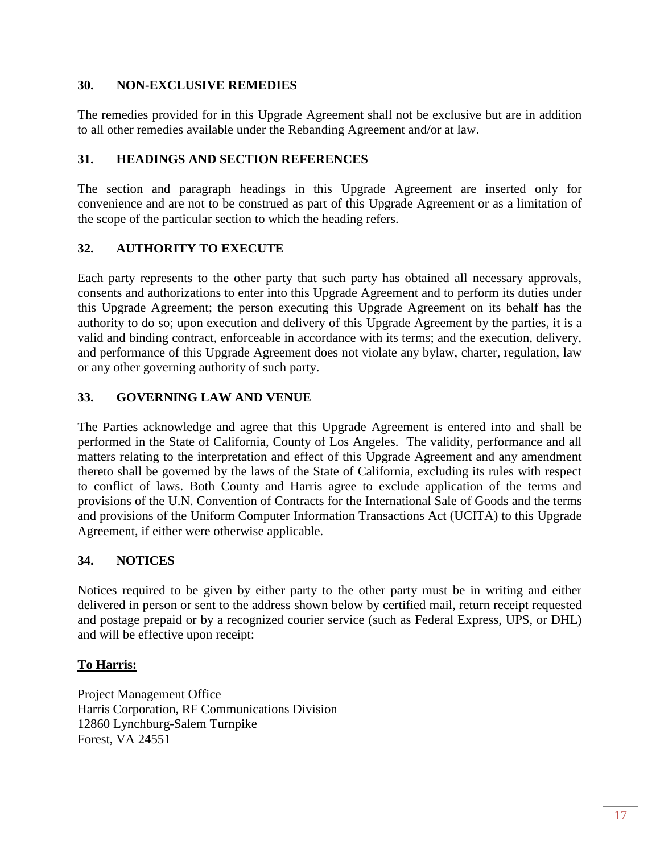#### **30. NON-EXCLUSIVE REMEDIES**

The remedies provided for in this Upgrade Agreement shall not be exclusive but are in addition to all other remedies available under the Rebanding Agreement and/or at law.

#### **31. HEADINGS AND SECTION REFERENCES**

The section and paragraph headings in this Upgrade Agreement are inserted only for convenience and are not to be construed as part of this Upgrade Agreement or as a limitation of the scope of the particular section to which the heading refers.

#### **32. AUTHORITY TO EXECUTE**

Each party represents to the other party that such party has obtained all necessary approvals, consents and authorizations to enter into this Upgrade Agreement and to perform its duties under this Upgrade Agreement; the person executing this Upgrade Agreement on its behalf has the authority to do so; upon execution and delivery of this Upgrade Agreement by the parties, it is a valid and binding contract, enforceable in accordance with its terms; and the execution, delivery, and performance of this Upgrade Agreement does not violate any bylaw, charter, regulation, law or any other governing authority of such party.

#### **33. GOVERNING LAW AND VENUE**

The Parties acknowledge and agree that this Upgrade Agreement is entered into and shall be performed in the State of California, County of Los Angeles. The validity, performance and all matters relating to the interpretation and effect of this Upgrade Agreement and any amendment thereto shall be governed by the laws of the State of California, excluding its rules with respect to conflict of laws. Both County and Harris agree to exclude application of the terms and provisions of the U.N. Convention of Contracts for the International Sale of Goods and the terms and provisions of the Uniform Computer Information Transactions Act (UCITA) to this Upgrade Agreement, if either were otherwise applicable.

#### **34. NOTICES**

Notices required to be given by either party to the other party must be in writing and either delivered in person or sent to the address shown below by certified mail, return receipt requested and postage prepaid or by a recognized courier service (such as Federal Express, UPS, or DHL) and will be effective upon receipt:

#### **To Harris:**

Project Management Office Harris Corporation, RF Communications Division 12860 Lynchburg-Salem Turnpike Forest, VA 24551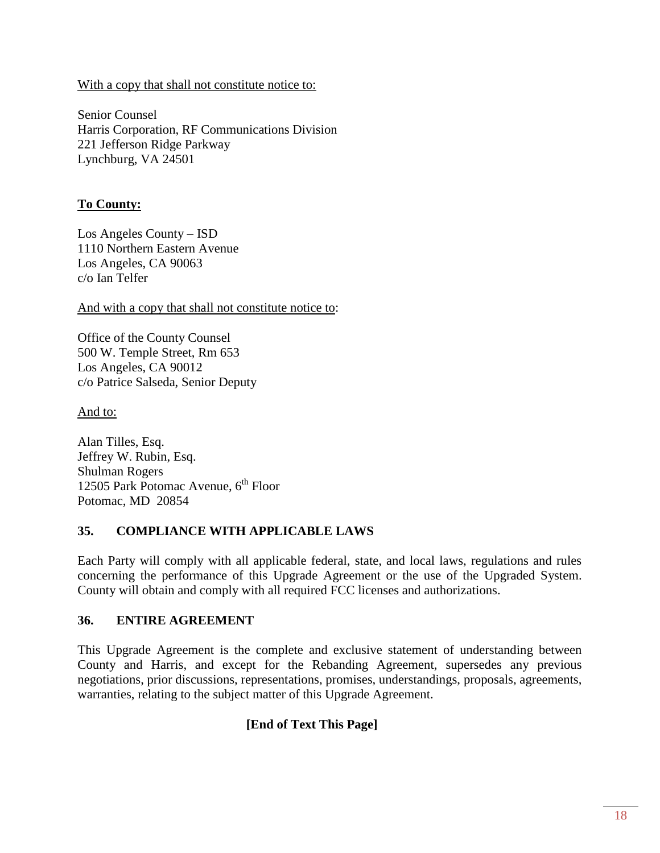With a copy that shall not constitute notice to:

Senior Counsel Harris Corporation, RF Communications Division 221 Jefferson Ridge Parkway Lynchburg, VA 24501

#### **To County:**

Los Angeles County – ISD 1110 Northern Eastern Avenue Los Angeles, CA 90063 c/o Ian Telfer

And with a copy that shall not constitute notice to:

Office of the County Counsel 500 W. Temple Street, Rm 653 Los Angeles, CA 90012 c/o Patrice Salseda, Senior Deputy

And to:

Alan Tilles, Esq. Jeffrey W. Rubin, Esq. Shulman Rogers 12505 Park Potomac Avenue,  $6<sup>th</sup>$  Floor Potomac, MD 20854

#### **35. COMPLIANCE WITH APPLICABLE LAWS**

Each Party will comply with all applicable federal, state, and local laws, regulations and rules concerning the performance of this Upgrade Agreement or the use of the Upgraded System. County will obtain and comply with all required FCC licenses and authorizations.

#### **36. ENTIRE AGREEMENT**

This Upgrade Agreement is the complete and exclusive statement of understanding between County and Harris, and except for the Rebanding Agreement, supersedes any previous negotiations, prior discussions, representations, promises, understandings, proposals, agreements, warranties, relating to the subject matter of this Upgrade Agreement.

#### **[End of Text This Page]**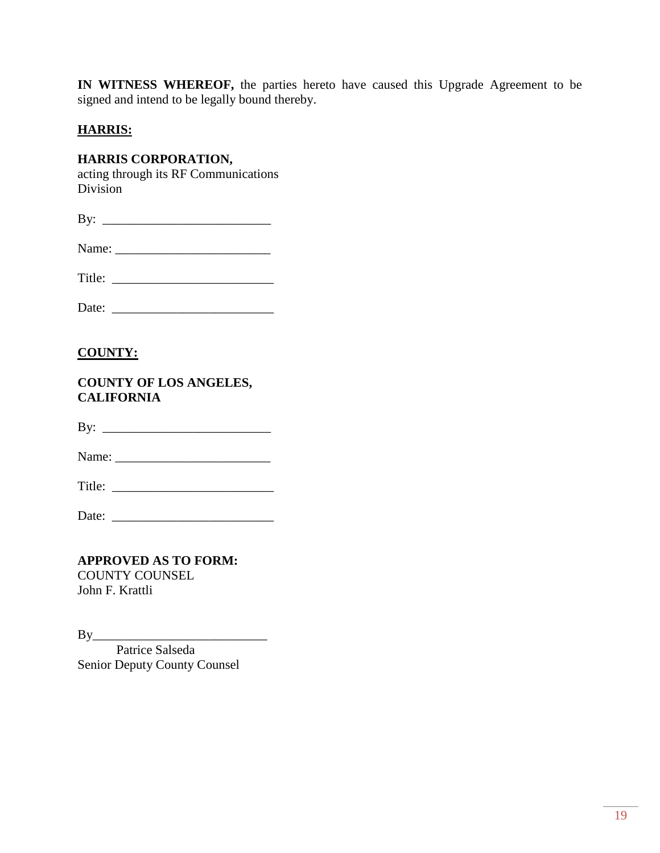**IN WITNESS WHEREOF,** the parties hereto have caused this Upgrade Agreement to be signed and intend to be legally bound thereby.

#### **HARRIS:**

#### **HARRIS CORPORATION,**

acting through its RF Communications Division

| D<br>D |  |
|--------|--|
|        |  |

| Name: |
|-------|
|       |

Title: \_\_\_\_\_\_\_\_\_\_\_\_\_\_\_\_\_\_\_\_\_\_\_\_\_

| Date: |  |
|-------|--|
|-------|--|

### **COUNTY:**

#### **COUNTY OF LOS ANGELES, CALIFORNIA**

By: \_\_\_\_\_\_\_\_\_\_\_\_\_\_\_\_\_\_\_\_\_\_\_\_\_\_

Name: \_\_\_\_\_\_\_\_\_\_\_\_\_\_\_\_\_\_\_\_\_\_\_\_

Title:

Date:

**APPROVED AS TO FORM:** COUNTY COUNSEL John F. Krattli

 $\mathbf{By}$ Patrice Salseda Senior Deputy County Counsel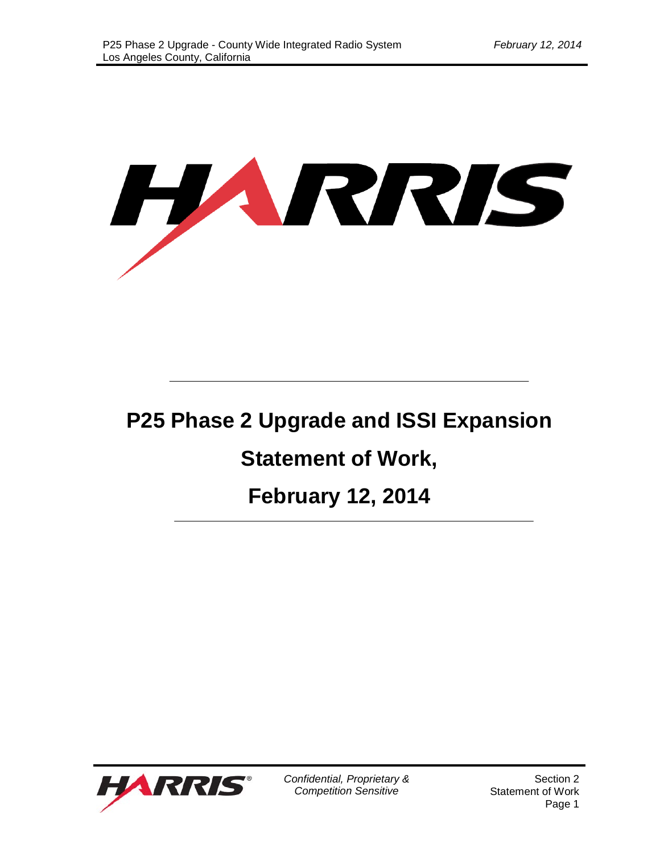

# **P25 Phase 2 Upgrade and ISSI Expansion**

# **Statement of Work,**

# **February 12, 2014**



*Confidential, Proprietary & Competition Sensitive*

Section 2 Statement of Work Page 1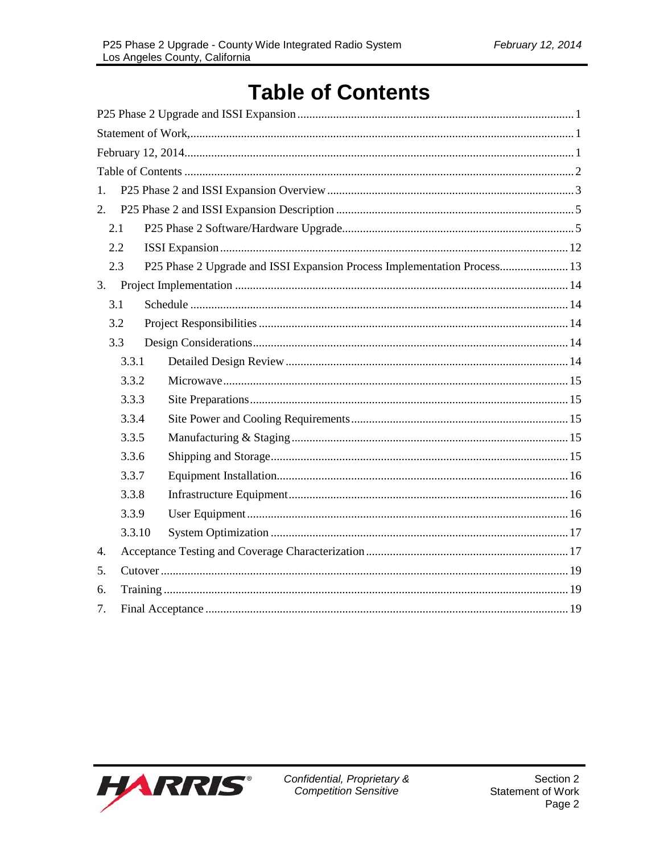# **Table of Contents**

| 1.  |        |                                                                          |
|-----|--------|--------------------------------------------------------------------------|
| 2.  |        |                                                                          |
| 2.1 |        |                                                                          |
| 2.2 |        |                                                                          |
| 2.3 |        | P25 Phase 2 Upgrade and ISSI Expansion Process Implementation Process 13 |
| 3.  |        |                                                                          |
| 3.1 |        |                                                                          |
| 3.2 |        |                                                                          |
| 3.3 |        |                                                                          |
|     | 3.3.1  |                                                                          |
|     | 3.3.2  |                                                                          |
|     | 3.3.3  |                                                                          |
|     | 3.3.4  |                                                                          |
|     | 3.3.5  |                                                                          |
|     | 3.3.6  |                                                                          |
|     | 3.3.7  |                                                                          |
|     | 3.3.8  |                                                                          |
|     | 3.3.9  |                                                                          |
|     | 3.3.10 |                                                                          |
| 4.  |        |                                                                          |
| 5.  |        |                                                                          |
| 6.  |        |                                                                          |
| 7.  |        |                                                                          |

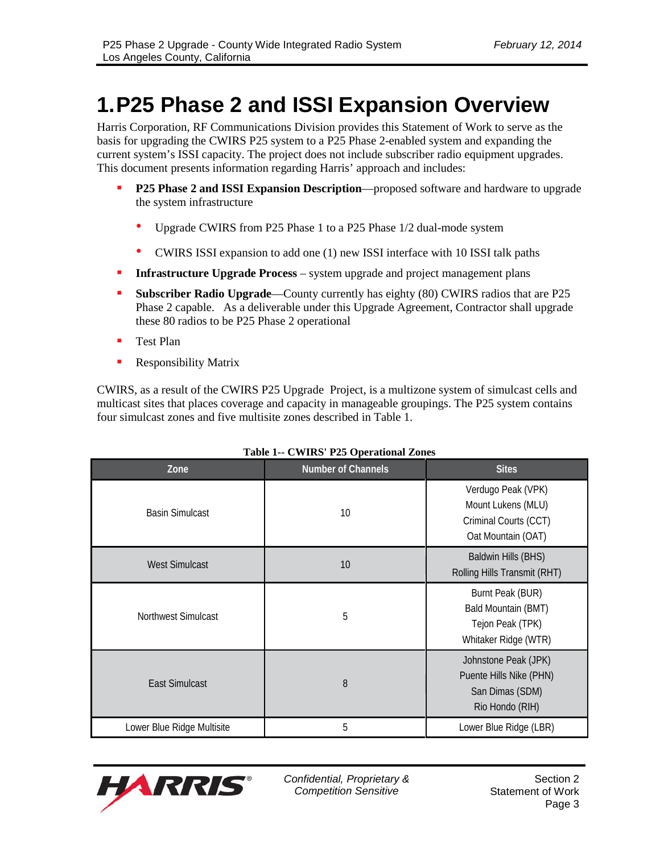# **1.P25 Phase 2 and ISSI Expansion Overview**

Harris Corporation, RF Communications Division provides this Statement of Work to serve as the basis for upgrading the CWIRS P25 system to a P25 Phase 2-enabled system and expanding the current system's ISSI capacity. The project does not include subscriber radio equipment upgrades. This document presents information regarding Harris' approach and includes:

- **P25 Phase 2 and ISSI Expansion Description—proposed software and hardware to upgrade** the system infrastructure
	- Upgrade CWIRS from P25 Phase 1 to a P25 Phase 1/2 dual-mode system
	- CWIRS ISSI expansion to add one (1) new ISSI interface with 10 ISSI talk paths
- **Infrastructure Upgrade Process** system upgrade and project management plans
- **Subscriber Radio Upgrade**—County currently has eighty (80) CWIRS radios that are P25 Phase 2 capable. As a deliverable under this Upgrade Agreement, Contractor shall upgrade these 80 radios to be P25 Phase 2 operational
- **Test Plan**
- **Responsibility Matrix**

CWIRS, as a result of the CWIRS P25 Upgrade Project, is a multizone system of simulcast cells and multicast sites that places coverage and capacity in manageable groupings. The P25 system contains four simulcast zones and five multisite zones described in Table 1.

| Zone                       | <b>Number of Channels</b> | <b>Sites</b>                                                                            |
|----------------------------|---------------------------|-----------------------------------------------------------------------------------------|
| <b>Basin Simulcast</b>     | 10                        | Verdugo Peak (VPK)<br>Mount Lukens (MLU)<br>Criminal Courts (CCT)<br>Oat Mountain (OAT) |
| <b>West Simulcast</b>      | 10                        | <b>Baldwin Hills (BHS)</b><br>Rolling Hills Transmit (RHT)                              |
| Northwest Simulcast        | 5                         | Burnt Peak (BUR)<br>Bald Mountain (BMT)<br>Tejon Peak (TPK)<br>Whitaker Ridge (WTR)     |
| <b>East Simulcast</b>      | 8                         | Johnstone Peak (JPK)<br>Puente Hills Nike (PHN)<br>San Dimas (SDM)<br>Rio Hondo (RIH)   |
| Lower Blue Ridge Multisite | 5                         | Lower Blue Ridge (LBR)                                                                  |

#### **Table 1-- CWIRS' P25 Operational Zones**

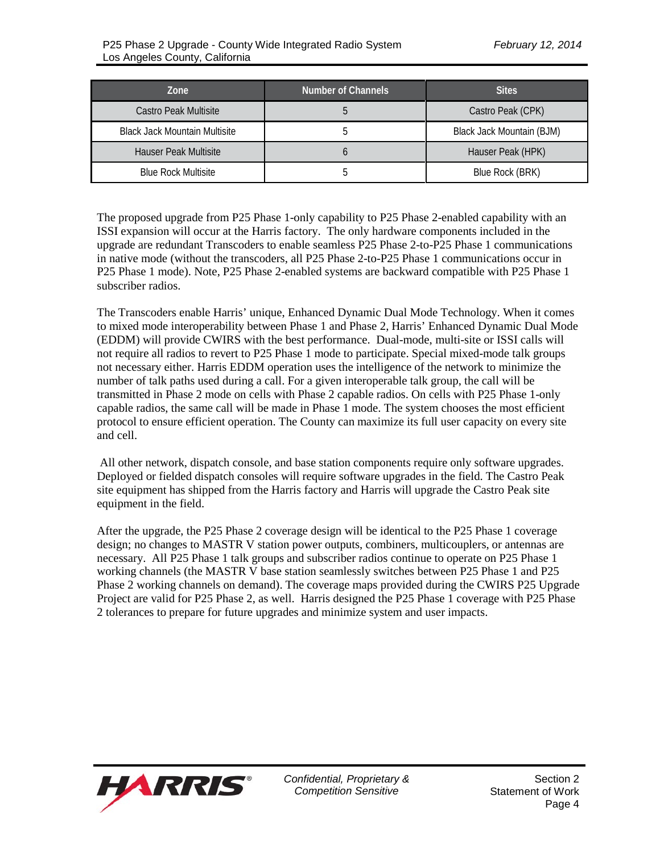| Zone                                 | <b>Number of Channels</b> | <b>Sites</b>              |
|--------------------------------------|---------------------------|---------------------------|
| Castro Peak Multisite                |                           | Castro Peak (CPK)         |
| <b>Black Jack Mountain Multisite</b> |                           | Black Jack Mountain (BJM) |
| <b>Hauser Peak Multisite</b>         |                           | Hauser Peak (HPK)         |
| <b>Blue Rock Multisite</b>           |                           | Blue Rock (BRK)           |

The proposed upgrade from P25 Phase 1-only capability to P25 Phase 2-enabled capability with an ISSI expansion will occur at the Harris factory. The only hardware components included in the upgrade are redundant Transcoders to enable seamless P25 Phase 2-to-P25 Phase 1 communications in native mode (without the transcoders, all P25 Phase 2-to-P25 Phase 1 communications occur in P25 Phase 1 mode). Note, P25 Phase 2-enabled systems are backward compatible with P25 Phase 1 subscriber radios.

The Transcoders enable Harris' unique, Enhanced Dynamic Dual Mode Technology. When it comes to mixed mode interoperability between Phase 1 and Phase 2, Harris' Enhanced Dynamic Dual Mode (EDDM) will provide CWIRS with the best performance. Dual-mode, multi-site or ISSI calls will not require all radios to revert to P25 Phase 1 mode to participate. Special mixed-mode talk groups not necessary either. Harris EDDM operation uses the intelligence of the network to minimize the number of talk paths used during a call. For a given interoperable talk group, the call will be transmitted in Phase 2 mode on cells with Phase 2 capable radios. On cells with P25 Phase 1-only capable radios, the same call will be made in Phase 1 mode. The system chooses the most efficient protocol to ensure efficient operation. The County can maximize its full user capacity on every site and cell.

 All other network, dispatch console, and base station components require only software upgrades. Deployed or fielded dispatch consoles will require software upgrades in the field. The Castro Peak site equipment has shipped from the Harris factory and Harris will upgrade the Castro Peak site equipment in the field.

After the upgrade, the P25 Phase 2 coverage design will be identical to the P25 Phase 1 coverage design; no changes to MASTR V station power outputs, combiners, multicouplers, or antennas are necessary. All P25 Phase 1 talk groups and subscriber radios continue to operate on P25 Phase 1 working channels (the MASTR V base station seamlessly switches between P25 Phase 1 and P25 Phase 2 working channels on demand). The coverage maps provided during the CWIRS P25 Upgrade Project are valid for P25 Phase 2, as well. Harris designed the P25 Phase 1 coverage with P25 Phase 2 tolerances to prepare for future upgrades and minimize system and user impacts.

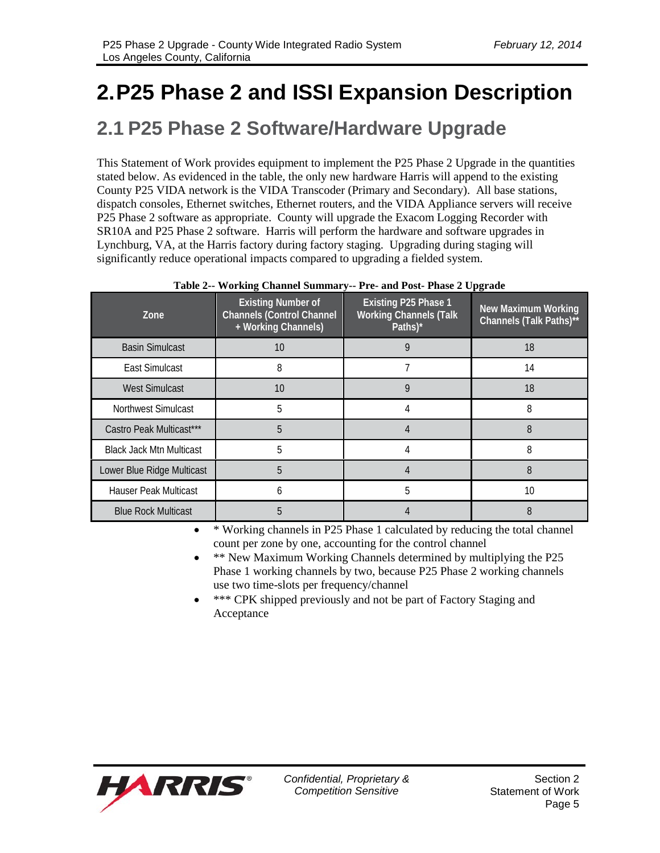# **2.P25 Phase 2 and ISSI Expansion Description**

# **2.1 P25 Phase 2 Software/Hardware Upgrade**

This Statement of Work provides equipment to implement the P25 Phase 2 Upgrade in the quantities stated below. As evidenced in the table, the only new hardware Harris will append to the existing County P25 VIDA network is the VIDA Transcoder (Primary and Secondary). All base stations, dispatch consoles, Ethernet switches, Ethernet routers, and the VIDA Appliance servers will receive P25 Phase 2 software as appropriate. County will upgrade the Exacom Logging Recorder with SR10A and P25 Phase 2 software. Harris will perform the hardware and software upgrades in Lynchburg, VA, at the Harris factory during factory staging. Upgrading during staging will significantly reduce operational impacts compared to upgrading a fielded system.

| Zone                            | <b>Existing Number of</b><br><b>Channels (Control Channel</b><br>+ Working Channels) | <b>Existing P25 Phase 1</b><br><b>Working Channels (Talk</b><br>Paths)* | <b>New Maximum Working</b><br>Channels (Talk Paths)** |
|---------------------------------|--------------------------------------------------------------------------------------|-------------------------------------------------------------------------|-------------------------------------------------------|
| <b>Basin Simulcast</b>          | 10                                                                                   | 9                                                                       | 18                                                    |
| <b>East Simulcast</b>           | 8                                                                                    |                                                                         | 14                                                    |
| <b>West Simulcast</b>           | 10                                                                                   | 9                                                                       | 18                                                    |
| <b>Northwest Simulcast</b>      | 5                                                                                    | 4                                                                       | 8                                                     |
| Castro Peak Multicast***        | 5                                                                                    |                                                                         | 8                                                     |
| <b>Black Jack Mtn Multicast</b> | 5                                                                                    |                                                                         | 8                                                     |
| Lower Blue Ridge Multicast      | 5                                                                                    |                                                                         | 8                                                     |
| Hauser Peak Multicast           | 6                                                                                    | 5                                                                       | 10                                                    |
| <b>Blue Rock Multicast</b>      | 5                                                                                    |                                                                         | 8                                                     |

#### **Table 2-- Working Channel Summary-- Pre- and Post- Phase 2 Upgrade**

• \* Working channels in P25 Phase 1 calculated by reducing the total channel count per zone by one, accounting for the control channel

- \*\* New Maximum Working Channels determined by multiplying the P25 Phase 1 working channels by two, because P25 Phase 2 working channels use two time-slots per frequency/channel
- \*\*\* CPK shipped previously and not be part of Factory Staging and Acceptance

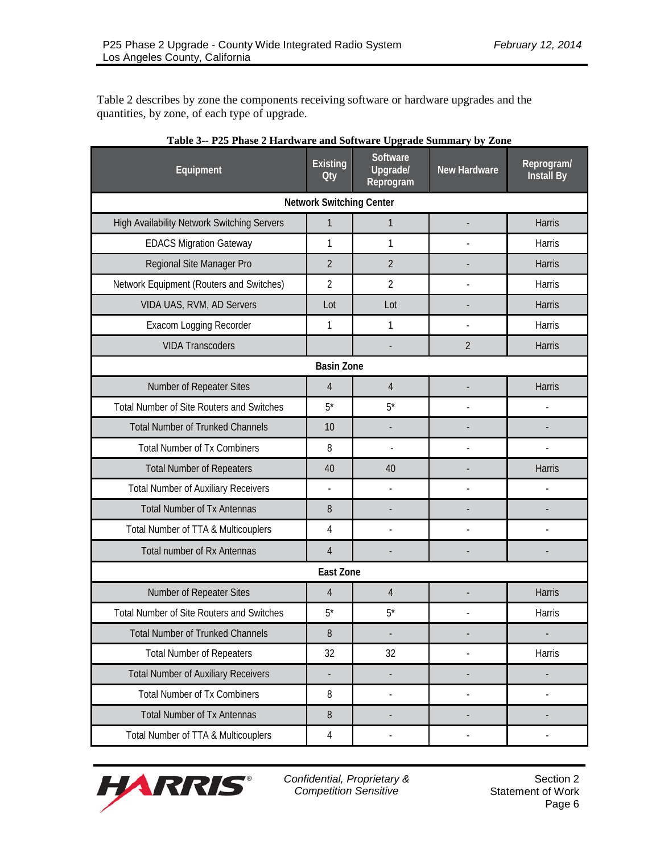Table 2 describes by zone the components receiving software or hardware upgrades and the quantities, by zone, of each type of upgrade.

| Equipment                                          | <b>Existing</b><br><b>Oty</b>   | Software<br>Upgrade/<br>Reprogram | <b>New Hardware</b>      | Reprogram/<br><b>Install By</b> |
|----------------------------------------------------|---------------------------------|-----------------------------------|--------------------------|---------------------------------|
|                                                    | <b>Network Switching Center</b> |                                   |                          |                                 |
| <b>High Availability Network Switching Servers</b> | $\mathbf{1}$                    | $\mathbf{1}$                      |                          | <b>Harris</b>                   |
| <b>EDACS Migration Gateway</b>                     | 1                               | 1                                 |                          | Harris                          |
| Regional Site Manager Pro                          | 2                               | $\overline{2}$                    |                          | Harris                          |
| Network Equipment (Routers and Switches)           | $\overline{2}$                  | $\overline{2}$                    | $\overline{a}$           | Harris                          |
| VIDA UAS, RVM, AD Servers                          | Lot                             | Lot                               |                          | <b>Harris</b>                   |
| Exacom Logging Recorder                            | 1                               | 1                                 |                          | Harris                          |
| <b>VIDA Transcoders</b>                            |                                 |                                   | $\overline{2}$           | Harris                          |
|                                                    | <b>Basin Zone</b>               |                                   |                          |                                 |
| Number of Repeater Sites                           | $\overline{4}$                  | $\overline{4}$                    |                          | Harris                          |
| <b>Total Number of Site Routers and Switches</b>   | $5^*$                           | $5^*$                             | $\overline{\phantom{a}}$ | $\overline{a}$                  |
| <b>Total Number of Trunked Channels</b>            | 10                              | ÷,                                |                          |                                 |
| <b>Total Number of Tx Combiners</b>                | 8                               | $\overline{a}$                    |                          |                                 |
| <b>Total Number of Repeaters</b>                   | 40                              | 40                                |                          | <b>Harris</b>                   |
| <b>Total Number of Auxiliary Receivers</b>         |                                 | $\overline{a}$                    |                          |                                 |
| <b>Total Number of Tx Antennas</b>                 | 8                               |                                   |                          |                                 |
| Total Number of TTA & Multicouplers                | 4                               | $\overline{a}$                    | $\overline{a}$           |                                 |
| Total number of Rx Antennas                        | $\overline{4}$                  |                                   |                          |                                 |
|                                                    | <b>East Zone</b>                |                                   |                          |                                 |
| Number of Repeater Sites                           | $\overline{4}$                  | $\overline{4}$                    |                          | Harris                          |
| <b>Total Number of Site Routers and Switches</b>   | $5^*$                           | $5^*$                             |                          | Harris                          |
| <b>Total Number of Trunked Channels</b>            | 8                               |                                   |                          |                                 |
| <b>Total Number of Repeaters</b>                   | 32                              | 32                                | $\overline{a}$           | Harris                          |
| <b>Total Number of Auxiliary Receivers</b>         |                                 |                                   |                          |                                 |
| <b>Total Number of Tx Combiners</b>                | 8                               |                                   |                          |                                 |
| <b>Total Number of Tx Antennas</b>                 | 8                               |                                   |                          |                                 |
| Total Number of TTA & Multicouplers                | 4                               | $\centerdot$                      | $\frac{1}{2}$            |                                 |

| Table 3-- P25 Phase 2 Hardware and Software Upgrade Summary by Zone |  |
|---------------------------------------------------------------------|--|
|---------------------------------------------------------------------|--|

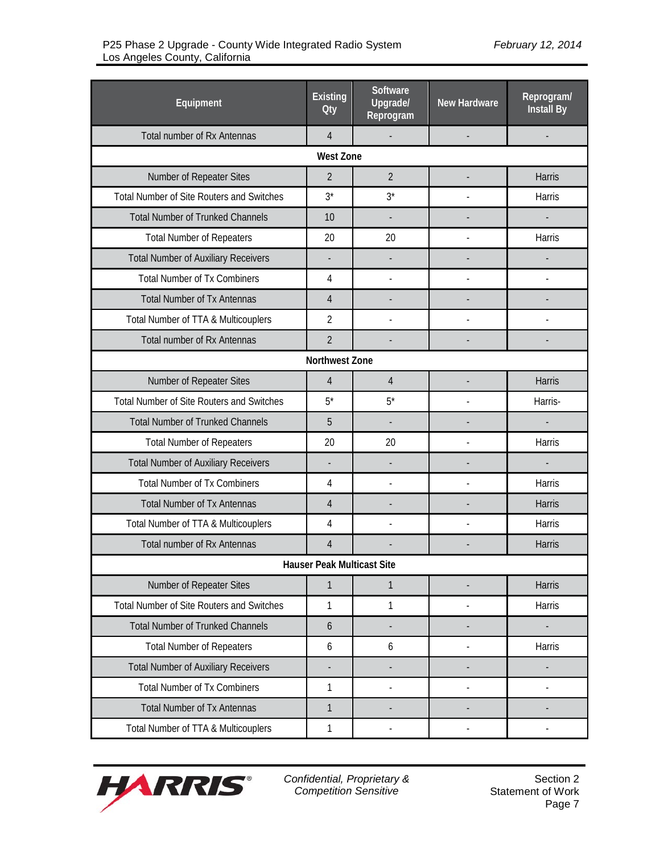| Equipment                                        | <b>Existing</b><br><b>Oty</b> | <b>Software</b><br>Upgrade/<br>Reprogram | <b>New Hardware</b>      | Reprogram/<br><b>Install By</b> |  |
|--------------------------------------------------|-------------------------------|------------------------------------------|--------------------------|---------------------------------|--|
| Total number of Rx Antennas                      | $\overline{4}$                | $\Box$                                   | $\overline{\phantom{a}}$ |                                 |  |
|                                                  | <b>West Zone</b>              |                                          |                          |                                 |  |
| Number of Repeater Sites                         | $\overline{2}$                | $\overline{2}$                           |                          | Harris                          |  |
| <b>Total Number of Site Routers and Switches</b> | $3^*$                         | $3^*$                                    |                          | Harris                          |  |
| <b>Total Number of Trunked Channels</b>          | 10                            |                                          |                          |                                 |  |
| <b>Total Number of Repeaters</b>                 | 20                            | 20                                       |                          | Harris                          |  |
| <b>Total Number of Auxiliary Receivers</b>       |                               |                                          |                          |                                 |  |
| <b>Total Number of Tx Combiners</b>              | 4                             | $\overline{a}$                           |                          |                                 |  |
| <b>Total Number of Tx Antennas</b>               | 4                             |                                          |                          |                                 |  |
| Total Number of TTA & Multicouplers              | $\overline{2}$                |                                          |                          |                                 |  |
| <b>Total number of Rx Antennas</b>               | $\overline{2}$                |                                          |                          |                                 |  |
|                                                  | Northwest Zone                |                                          |                          |                                 |  |
| Number of Repeater Sites                         | $\overline{4}$                | $\overline{4}$                           |                          | Harris                          |  |
| <b>Total Number of Site Routers and Switches</b> | $5^*$                         | $5^*$                                    |                          | Harris-                         |  |
| <b>Total Number of Trunked Channels</b>          | 5                             |                                          |                          |                                 |  |
| <b>Total Number of Repeaters</b>                 | 20                            | 20                                       |                          | Harris                          |  |
| <b>Total Number of Auxiliary Receivers</b>       |                               |                                          |                          |                                 |  |
| <b>Total Number of Tx Combiners</b>              | 4                             |                                          |                          | Harris                          |  |
| <b>Total Number of Tx Antennas</b>               | 4                             |                                          |                          | Harris                          |  |
| Total Number of TTA & Multicouplers              | 4                             |                                          |                          | Harris                          |  |
| <b>Total number of Rx Antennas</b>               | 4                             |                                          |                          | Harris                          |  |
| <b>Hauser Peak Multicast Site</b>                |                               |                                          |                          |                                 |  |
| Number of Repeater Sites                         | $\mathbf{1}$                  | 1                                        |                          | Harris                          |  |
| Total Number of Site Routers and Switches        | 1                             | 1                                        |                          | Harris                          |  |
| <b>Total Number of Trunked Channels</b>          | 6                             |                                          |                          | $\overline{\phantom{a}}$        |  |
| <b>Total Number of Repeaters</b>                 | 6                             | 6                                        | ÷,                       | Harris                          |  |
| <b>Total Number of Auxiliary Receivers</b>       |                               |                                          |                          |                                 |  |
| <b>Total Number of Tx Combiners</b>              | 1                             |                                          |                          |                                 |  |
| <b>Total Number of Tx Antennas</b>               | 1                             |                                          |                          |                                 |  |
| Total Number of TTA & Multicouplers              | $\mathbf{1}$                  |                                          |                          |                                 |  |

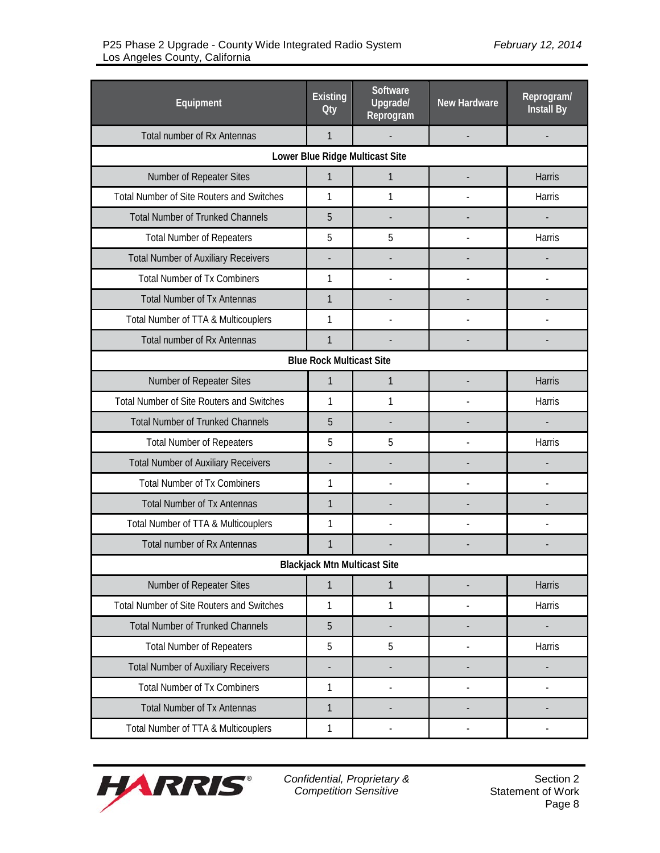| Equipment                                        | <b>Existing</b><br><b>Oty</b>       | Software<br>Upgrade/<br>Reprogram | <b>New Hardware</b> | Reprogram/<br>Install By |  |  |
|--------------------------------------------------|-------------------------------------|-----------------------------------|---------------------|--------------------------|--|--|
| Total number of Rx Antennas                      | $\mathbf{1}$                        |                                   |                     |                          |  |  |
|                                                  |                                     | Lower Blue Ridge Multicast Site   |                     |                          |  |  |
| Number of Repeater Sites                         | 1                                   | $\mathbf{1}$                      |                     | <b>Harris</b>            |  |  |
| <b>Total Number of Site Routers and Switches</b> | 1                                   | 1                                 |                     | Harris                   |  |  |
| <b>Total Number of Trunked Channels</b>          | 5                                   | $\overline{a}$                    |                     | $\overline{\phantom{a}}$ |  |  |
| <b>Total Number of Repeaters</b>                 | 5                                   | 5                                 |                     | Harris                   |  |  |
| <b>Total Number of Auxiliary Receivers</b>       |                                     |                                   |                     |                          |  |  |
| <b>Total Number of Tx Combiners</b>              | 1                                   |                                   |                     |                          |  |  |
| <b>Total Number of Tx Antennas</b>               | 1                                   |                                   |                     |                          |  |  |
| Total Number of TTA & Multicouplers              | 1                                   |                                   |                     |                          |  |  |
| Total number of Rx Antennas                      | $\mathbf{1}$                        |                                   |                     |                          |  |  |
|                                                  | <b>Blue Rock Multicast Site</b>     |                                   |                     |                          |  |  |
| Number of Repeater Sites                         | $\mathbf{1}$                        | $\mathbf{1}$                      |                     | <b>Harris</b>            |  |  |
| <b>Total Number of Site Routers and Switches</b> | 1                                   | 1                                 |                     | Harris                   |  |  |
| <b>Total Number of Trunked Channels</b>          | 5                                   |                                   |                     |                          |  |  |
| <b>Total Number of Repeaters</b>                 | 5                                   | 5                                 |                     | Harris                   |  |  |
| <b>Total Number of Auxiliary Receivers</b>       |                                     |                                   |                     |                          |  |  |
| <b>Total Number of Tx Combiners</b>              | 1                                   |                                   |                     |                          |  |  |
| <b>Total Number of Tx Antennas</b>               | $\mathbf{1}$                        |                                   |                     |                          |  |  |
| Total Number of TTA & Multicouplers              | 1                                   |                                   |                     |                          |  |  |
| <b>Total number of Rx Antennas</b>               | 1                                   |                                   |                     |                          |  |  |
|                                                  | <b>Blackjack Mtn Multicast Site</b> |                                   |                     |                          |  |  |
| Number of Repeater Sites                         | 1                                   | 1                                 | $\overline{a}$      | Harris                   |  |  |
| <b>Total Number of Site Routers and Switches</b> | 1                                   | 1                                 |                     | Harris                   |  |  |
| <b>Total Number of Trunked Channels</b>          | 5                                   |                                   |                     |                          |  |  |
| <b>Total Number of Repeaters</b>                 | 5                                   | 5                                 |                     | Harris                   |  |  |
| <b>Total Number of Auxiliary Receivers</b>       |                                     |                                   |                     |                          |  |  |
| <b>Total Number of Tx Combiners</b>              | 1                                   | $\overline{a}$                    |                     | $\overline{a}$           |  |  |
| <b>Total Number of Tx Antennas</b>               | 1                                   | $\overline{a}$                    |                     |                          |  |  |
| Total Number of TTA & Multicouplers              | 1                                   | $\overline{a}$                    | $\frac{1}{2}$       |                          |  |  |

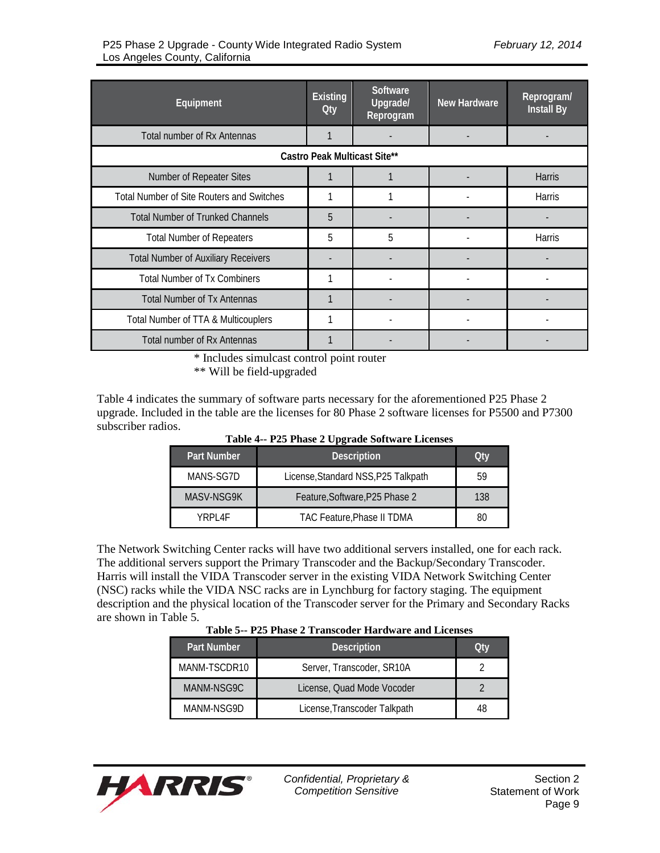| Equipment                                        | <b>Existing</b><br><b>Oty</b> | Software<br>Upgrade/<br>Reprogram | <b>New Hardware</b> | Reprogram/<br><b>Install By</b> |
|--------------------------------------------------|-------------------------------|-----------------------------------|---------------------|---------------------------------|
| Total number of Rx Antennas                      | 1                             |                                   |                     |                                 |
|                                                  |                               | Castro Peak Multicast Site**      |                     |                                 |
| Number of Repeater Sites                         |                               |                                   |                     | <b>Harris</b>                   |
| <b>Total Number of Site Routers and Switches</b> |                               |                                   |                     | <b>Harris</b>                   |
| <b>Total Number of Trunked Channels</b>          | 5                             |                                   |                     |                                 |
| <b>Total Number of Repeaters</b>                 | 5                             | 5                                 |                     | Harris                          |
| <b>Total Number of Auxiliary Receivers</b>       |                               |                                   |                     |                                 |
| <b>Total Number of Tx Combiners</b>              |                               |                                   |                     |                                 |
| <b>Total Number of Tx Antennas</b>               | 1                             |                                   |                     |                                 |
| Total Number of TTA & Multicouplers              |                               |                                   |                     |                                 |
| Total number of Rx Antennas                      |                               |                                   |                     |                                 |

\* Includes simulcast control point router

\*\* Will be field-upgraded

Table 4 indicates the summary of software parts necessary for the aforementioned P25 Phase 2 upgrade. Included in the table are the licenses for 80 Phase 2 software licenses for P5500 and P7300 subscriber radios.

| Table 4-- P25 Phase 2 Upgrade Software Licenses |  |  |  |  |  |
|-------------------------------------------------|--|--|--|--|--|
|-------------------------------------------------|--|--|--|--|--|

| <b>Part Number</b> | <b>Description</b>                  | Qtv |
|--------------------|-------------------------------------|-----|
| MANS-SG7D          | License, Standard NSS, P25 Talkpath | 59  |
| MASV-NSG9K         | Feature, Software, P25 Phase 2      | 138 |
| YRPI 4F            | <b>TAC Feature, Phase II TDMA</b>   | 80  |

The Network Switching Center racks will have two additional servers installed, one for each rack. The additional servers support the Primary Transcoder and the Backup/Secondary Transcoder. Harris will install the VIDA Transcoder server in the existing VIDA Network Switching Center (NSC) racks while the VIDA NSC racks are in Lynchburg for factory staging. The equipment description and the physical location of the Transcoder server for the Primary and Secondary Racks are shown in Table 5.

|  |  |  | Table 5-- P25 Phase 2 Transcoder Hardware and Licenses |
|--|--|--|--------------------------------------------------------|
|--|--|--|--------------------------------------------------------|

| <b>Part Number</b> | <b>Description</b>           | Otv |
|--------------------|------------------------------|-----|
| MANM-TSCDR10       | Server, Transcoder, SR10A    |     |
| MANM-NSG9C         | License, Quad Mode Vocoder   |     |
| MANM-NSG9D         | License, Transcoder Talkpath |     |

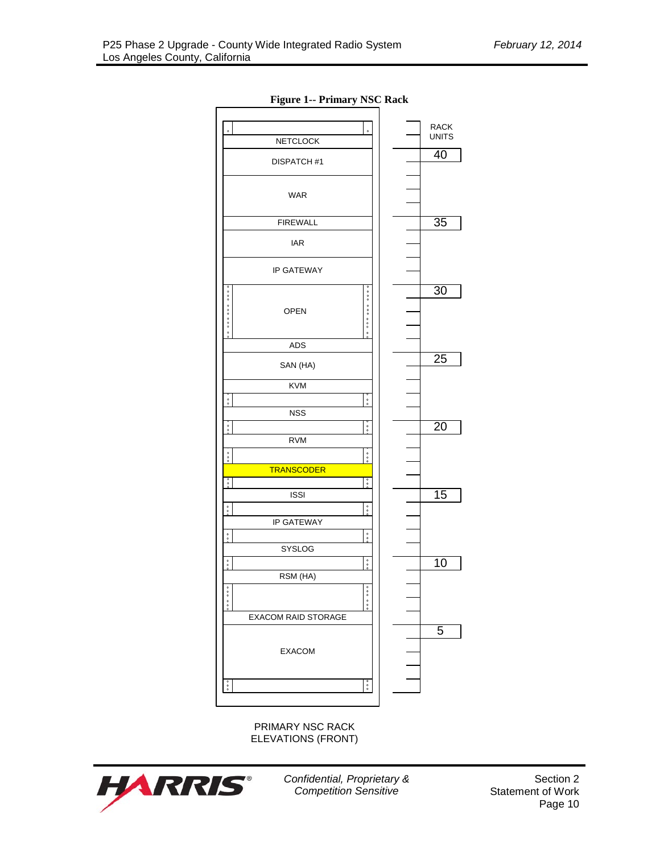

**Figure 1-- Primary NSC Rack**

PRIMARY NSC RACK ELEVATIONS (FRONT)

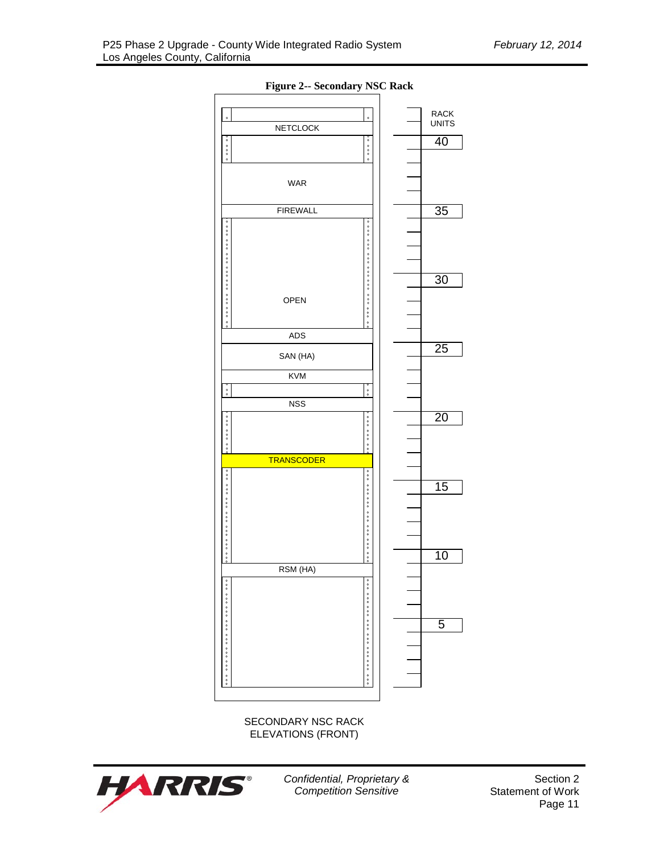

**Figure 2-- Secondary NSC Rack**

SECONDARY NSC RACK ELEVATIONS (FRONT)



*Confidential, Proprietary & Competition Sensitive*

Section 2 Statement of Work Page 11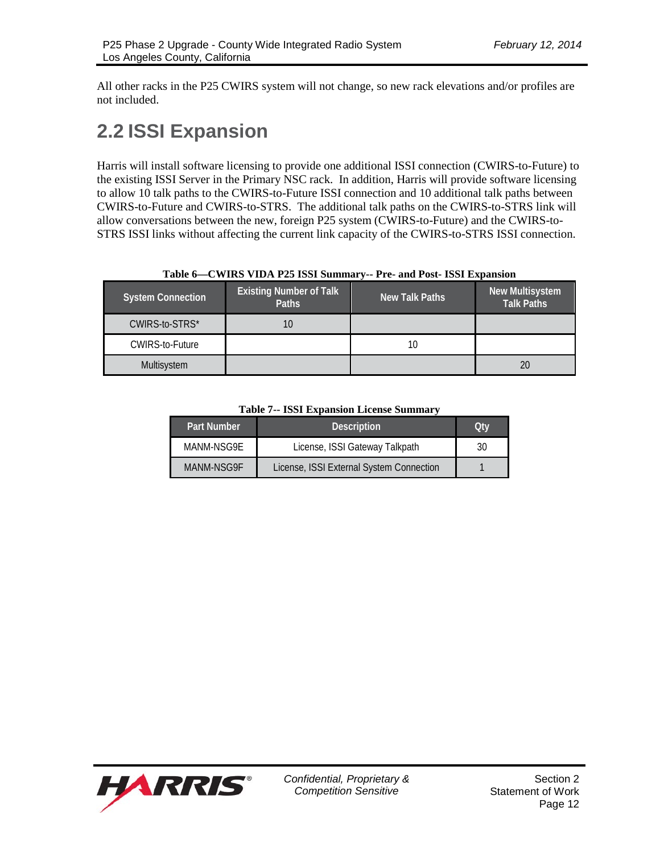All other racks in the P25 CWIRS system will not change, so new rack elevations and/or profiles are not included.

# **2.2 ISSI Expansion**

Harris will install software licensing to provide one additional ISSI connection (CWIRS-to-Future) to the existing ISSI Server in the Primary NSC rack. In addition, Harris will provide software licensing to allow 10 talk paths to the CWIRS-to-Future ISSI connection and 10 additional talk paths between CWIRS-to-Future and CWIRS-to-STRS. The additional talk paths on the CWIRS-to-STRS link will allow conversations between the new, foreign P25 system (CWIRS-to-Future) and the CWIRS-to-STRS ISSI links without affecting the current link capacity of the CWIRS-to-STRS ISSI connection.

| Table $0$ —C WINS VIDA I 23 ISSI Summal VIII I tel and I 0st ISSI Expansion |                                         |                |    |  |  |  |  |  |
|-----------------------------------------------------------------------------|-----------------------------------------|----------------|----|--|--|--|--|--|
| <b>System Connection</b>                                                    | <b>Existing Number of Talk</b><br>Paths | New Talk Paths |    |  |  |  |  |  |
| CWIRS-to-STRS*                                                              |                                         |                |    |  |  |  |  |  |
| CWIRS-to-Future                                                             |                                         | 10             |    |  |  |  |  |  |
| Multisystem                                                                 |                                         |                | 20 |  |  |  |  |  |

#### **Table 6—CWIRS VIDA P25 ISSI Summary-- Pre- and Post- ISSI Expansion**

**Table 7-- ISSI Expansion License Summary**

| Part Number | <b>Description</b>                       | Otv |
|-------------|------------------------------------------|-----|
| MANM-NSG9F  | License, ISSI Gateway Talkpath           | 30  |
| MANM-NSG9F  | License, ISSI External System Connection |     |

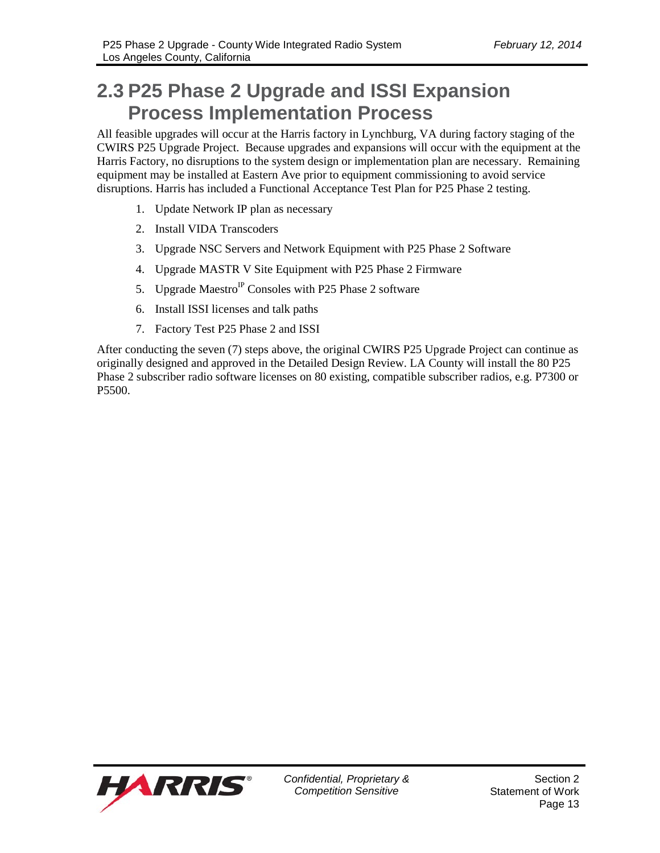# **2.3 P25 Phase 2 Upgrade and ISSI Expansion Process Implementation Process**

All feasible upgrades will occur at the Harris factory in Lynchburg, VA during factory staging of the CWIRS P25 Upgrade Project. Because upgrades and expansions will occur with the equipment at the Harris Factory, no disruptions to the system design or implementation plan are necessary. Remaining equipment may be installed at Eastern Ave prior to equipment commissioning to avoid service disruptions. Harris has included a Functional Acceptance Test Plan for P25 Phase 2 testing.

- 1. Update Network IP plan as necessary
- 2. Install VIDA Transcoders
- 3. Upgrade NSC Servers and Network Equipment with P25 Phase 2 Software
- 4. Upgrade MASTR V Site Equipment with P25 Phase 2 Firmware
- 5. Upgrade Maestro<sup>IP</sup> Consoles with P25 Phase 2 software
- 6. Install ISSI licenses and talk paths
- 7. Factory Test P25 Phase 2 and ISSI

After conducting the seven (7) steps above, the original CWIRS P25 Upgrade Project can continue as originally designed and approved in the Detailed Design Review. LA County will install the 80 P25 Phase 2 subscriber radio software licenses on 80 existing, compatible subscriber radios, e.g. P7300 or P5500.

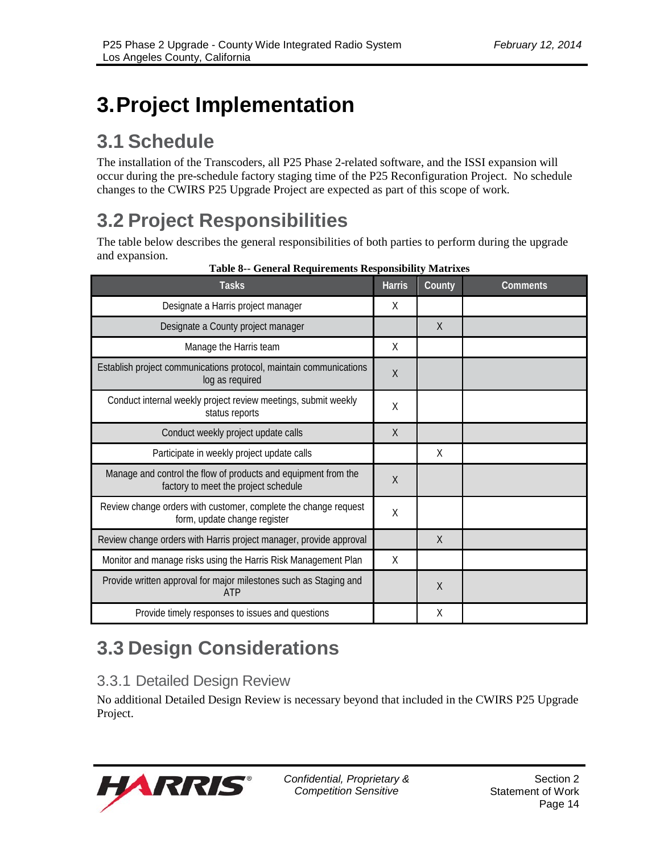# **3.Project Implementation**

# **3.1 Schedule**

The installation of the Transcoders, all P25 Phase 2-related software, and the ISSI expansion will occur during the pre-schedule factory staging time of the P25 Reconfiguration Project. No schedule changes to the CWIRS P25 Upgrade Project are expected as part of this scope of work.

# **3.2 Project Responsibilities**

The table below describes the general responsibilities of both parties to perform during the upgrade and expansion.

| <b>Tasks</b>                                                                                           | <b>Harris</b> | County   | <b>Comments</b> |
|--------------------------------------------------------------------------------------------------------|---------------|----------|-----------------|
| Designate a Harris project manager                                                                     | X             |          |                 |
| Designate a County project manager                                                                     |               | $\times$ |                 |
| Manage the Harris team                                                                                 | X             |          |                 |
| Establish project communications protocol, maintain communications<br>log as required                  | $\sf X$       |          |                 |
| Conduct internal weekly project review meetings, submit weekly<br>status reports                       | Χ             |          |                 |
| Conduct weekly project update calls                                                                    | $\chi$        |          |                 |
| Participate in weekly project update calls                                                             |               | X        |                 |
| Manage and control the flow of products and equipment from the<br>factory to meet the project schedule | $\sf X$       |          |                 |
| Review change orders with customer, complete the change request<br>form, update change register        | X             |          |                 |
| Review change orders with Harris project manager, provide approval                                     |               | $\times$ |                 |
| Monitor and manage risks using the Harris Risk Management Plan                                         | X             |          |                 |
| Provide written approval for major milestones such as Staging and<br><b>ATP</b>                        |               | $\chi$   |                 |
| Provide timely responses to issues and questions                                                       |               | X        |                 |

#### **Table 8-- General Requirements Responsibility Matrixes**

# **3.3 Design Considerations**

## 3.3.1 Detailed Design Review

No additional Detailed Design Review is necessary beyond that included in the CWIRS P25 Upgrade Project.

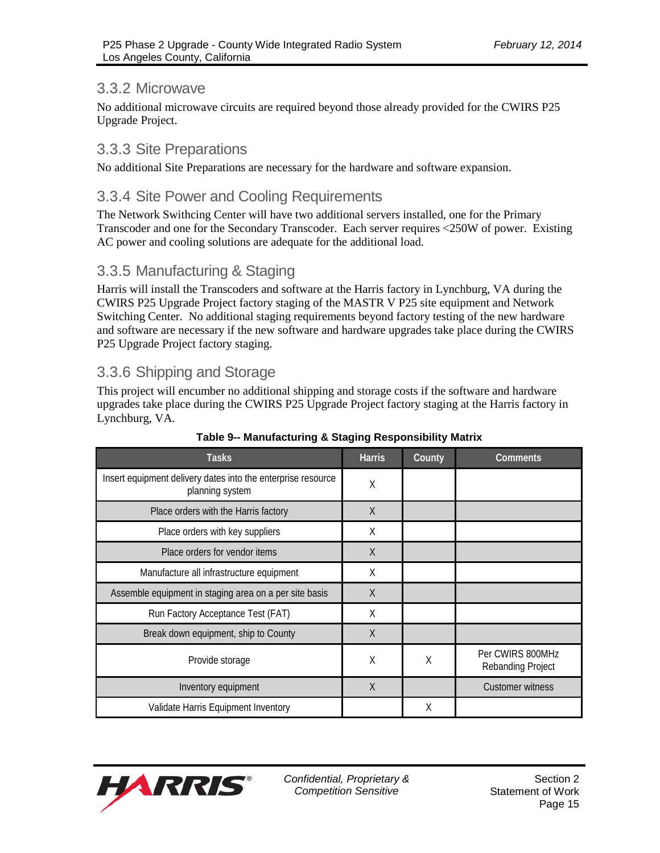### 3.3.2 Microwave

No additional microwave circuits are required beyond those already provided for the CWIRS P25 Upgrade Project.

### 3.3.3 Site Preparations

No additional Site Preparations are necessary for the hardware and software expansion.

## 3.3.4 Site Power and Cooling Requirements

The Network Swithcing Center will have two additional servers installed, one for the Primary Transcoder and one for the Secondary Transcoder. Each server requires <250W of power. Existing AC power and cooling solutions are adequate for the additional load.

## 3.3.5 Manufacturing & Staging

Harris will install the Transcoders and software at the Harris factory in Lynchburg, VA during the CWIRS P25 Upgrade Project factory staging of the MASTR V P25 site equipment and Network Switching Center. No additional staging requirements beyond factory testing of the new hardware and software are necessary if the new software and hardware upgrades take place during the CWIRS P25 Upgrade Project factory staging.

## 3.3.6 Shipping and Storage

This project will encumber no additional shipping and storage costs if the software and hardware upgrades take place during the CWIRS P25 Upgrade Project factory staging at the Harris factory in Lynchburg, VA.

| <b>Tasks</b>                                                                    | <b>Harris</b> | County | Comments                                     |
|---------------------------------------------------------------------------------|---------------|--------|----------------------------------------------|
| Insert equipment delivery dates into the enterprise resource<br>planning system | X             |        |                                              |
| Place orders with the Harris factory                                            | $\sf X$       |        |                                              |
| Place orders with key suppliers                                                 | Χ             |        |                                              |
| Place orders for vendor items                                                   | $\chi$        |        |                                              |
| Manufacture all infrastructure equipment                                        | Χ             |        |                                              |
| Assemble equipment in staging area on a per site basis                          | $\chi$        |        |                                              |
| Run Factory Acceptance Test (FAT)                                               | X             |        |                                              |
| Break down equipment, ship to County                                            | X             |        |                                              |
| Provide storage                                                                 | X             | X      | Per CWIRS 800MHz<br><b>Rebanding Project</b> |
| Inventory equipment                                                             | X             |        | Customer witness                             |
| Validate Harris Equipment Inventory                                             |               | X      |                                              |

#### **Table 9-- Manufacturing & Staging Responsibility Matrix**

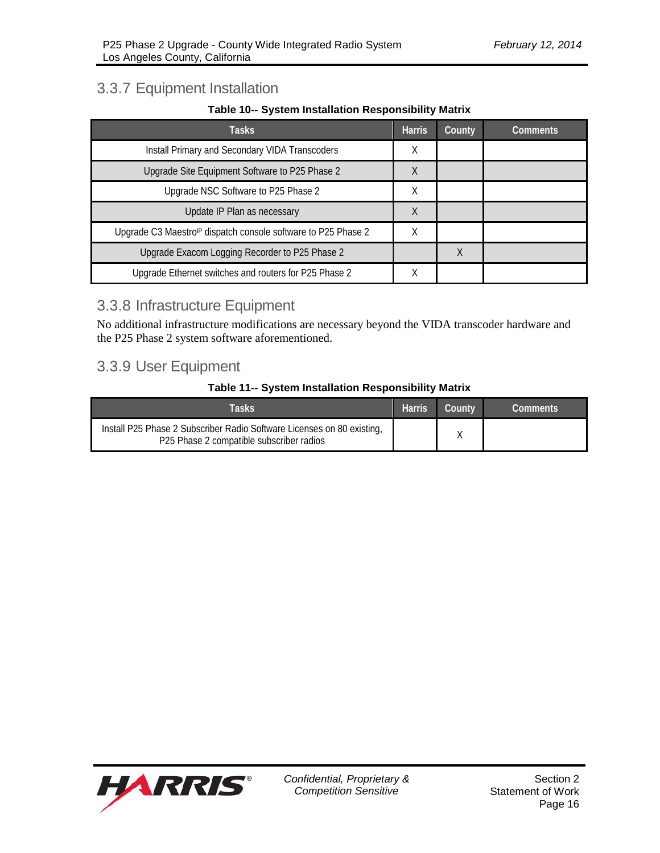## 3.3.7 Equipment Installation

#### **Table 10-- System Installation Responsibility Matrix**

| Tasks                                                                    | <b>Harris</b> | County | <b>Comments</b> |
|--------------------------------------------------------------------------|---------------|--------|-----------------|
| Install Primary and Secondary VIDA Transcoders                           | X             |        |                 |
| Upgrade Site Equipment Software to P25 Phase 2                           | X             |        |                 |
| Upgrade NSC Software to P25 Phase 2                                      | Χ             |        |                 |
| Update IP Plan as necessary                                              | X             |        |                 |
| Upgrade C3 Maestro <sup>®</sup> dispatch console software to P25 Phase 2 | Χ             |        |                 |
| Upgrade Exacom Logging Recorder to P25 Phase 2                           |               | Χ      |                 |
| Upgrade Ethernet switches and routers for P25 Phase 2                    |               |        |                 |

## 3.3.8 Infrastructure Equipment

No additional infrastructure modifications are necessary beyond the VIDA transcoder hardware and the P25 Phase 2 system software aforementioned.

## 3.3.9 User Equipment

#### **Table 11-- System Installation Responsibility Matrix**

| Tasks                                                                                                              | <b>Harris</b> | Countv | Comments |
|--------------------------------------------------------------------------------------------------------------------|---------------|--------|----------|
| Install P25 Phase 2 Subscriber Radio Software Licenses on 80 existing,<br>P25 Phase 2 compatible subscriber radios |               |        |          |

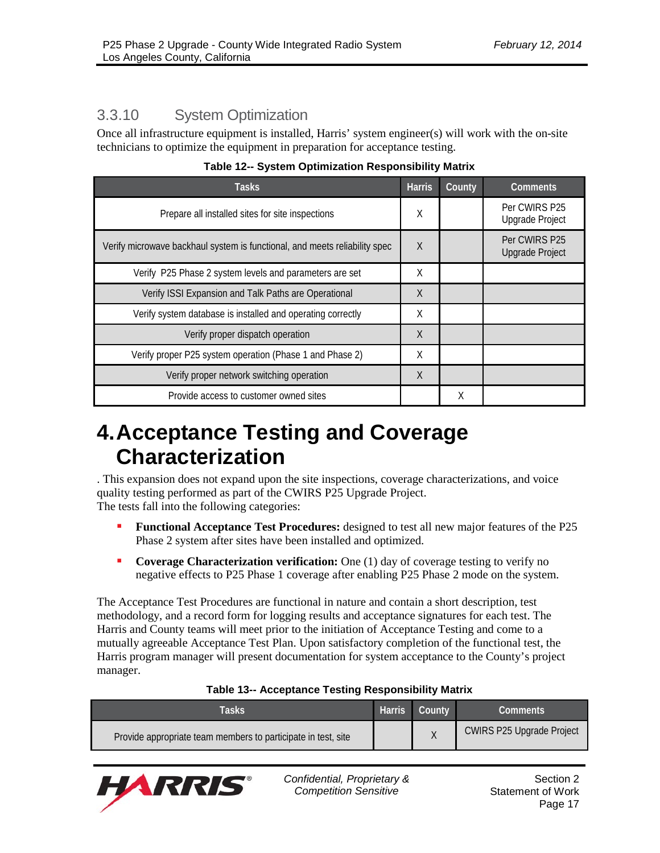# 3.3.10 System Optimization

Once all infrastructure equipment is installed, Harris' system engineer(s) will work with the on-site technicians to optimize the equipment in preparation for acceptance testing.

| Tasks.                                                                     | <b>Harris</b> | County | <b>Comments</b>                         |
|----------------------------------------------------------------------------|---------------|--------|-----------------------------------------|
| Prepare all installed sites for site inspections                           | Χ             |        | Per CWIRS P25<br><b>Upgrade Project</b> |
| Verify microwave backhaul system is functional, and meets reliability spec | X             |        | Per CWIRS P25<br><b>Upgrade Project</b> |
| Verify P25 Phase 2 system levels and parameters are set                    | X             |        |                                         |
| Verify ISSI Expansion and Talk Paths are Operational                       | X             |        |                                         |
| Verify system database is installed and operating correctly                | X             |        |                                         |
| Verify proper dispatch operation                                           | X             |        |                                         |
| Verify proper P25 system operation (Phase 1 and Phase 2)                   |               |        |                                         |
| Verify proper network switching operation                                  | X             |        |                                         |
| Provide access to customer owned sites                                     |               | Χ      |                                         |

**Table 12-- System Optimization Responsibility Matrix**

# **4.Acceptance Testing and Coverage Characterization**

. This expansion does not expand upon the site inspections, coverage characterizations, and voice quality testing performed as part of the CWIRS P25 Upgrade Project. The tests fall into the following categories:

- **Functional Acceptance Test Procedures:** designed to test all new major features of the P25 Phase 2 system after sites have been installed and optimized.
- **Coverage Characterization verification:** One (1) day of coverage testing to verify no negative effects to P25 Phase 1 coverage after enabling P25 Phase 2 mode on the system.

The Acceptance Test Procedures are functional in nature and contain a short description, test methodology, and a record form for logging results and acceptance signatures for each test. The Harris and County teams will meet prior to the initiation of Acceptance Testing and come to a mutually agreeable Acceptance Test Plan. Upon satisfactory completion of the functional test, the Harris program manager will present documentation for system acceptance to the County's project manager.

| Tasks                                                         | <b>Harris</b> | lCountv' | Comments                         |
|---------------------------------------------------------------|---------------|----------|----------------------------------|
| Provide appropriate team members to participate in test, site |               |          | <b>CWIRS P25 Upgrade Project</b> |

#### **Table 13-- Acceptance Testing Responsibility Matrix**

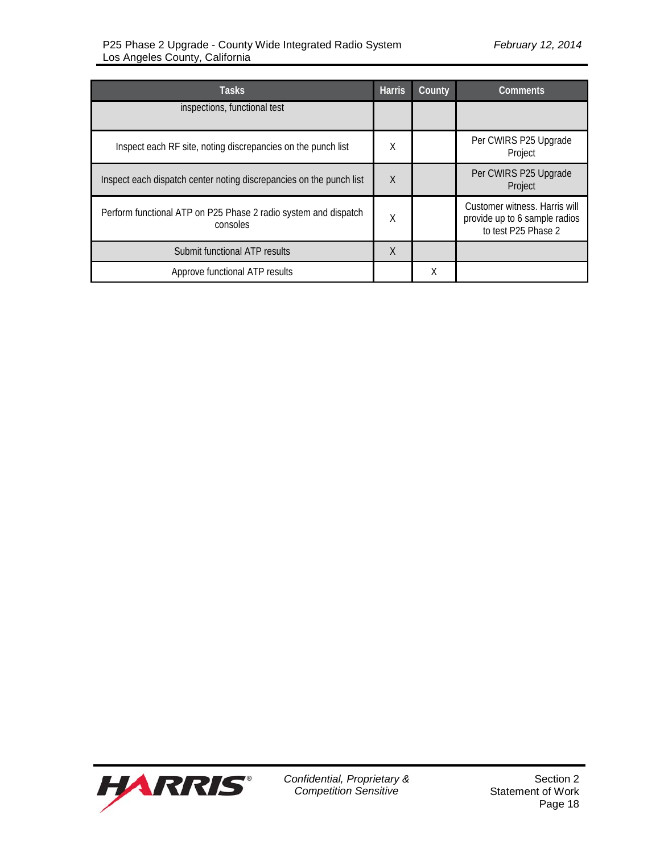| Tasks                                                                       | <b>Harris</b> | County | Comments                                                                              |  |
|-----------------------------------------------------------------------------|---------------|--------|---------------------------------------------------------------------------------------|--|
| inspections, functional test                                                |               |        |                                                                                       |  |
| Inspect each RF site, noting discrepancies on the punch list                | Χ             |        | Per CWIRS P25 Upgrade<br>Project                                                      |  |
| Inspect each dispatch center noting discrepancies on the punch list         | $\sf X$       |        | Per CWIRS P25 Upgrade<br>Project                                                      |  |
| Perform functional ATP on P25 Phase 2 radio system and dispatch<br>consoles | Χ             |        | Customer witness. Harris will<br>provide up to 6 sample radios<br>to test P25 Phase 2 |  |
| Submit functional ATP results                                               | X             |        |                                                                                       |  |
| Approve functional ATP results                                              |               | Χ      |                                                                                       |  |

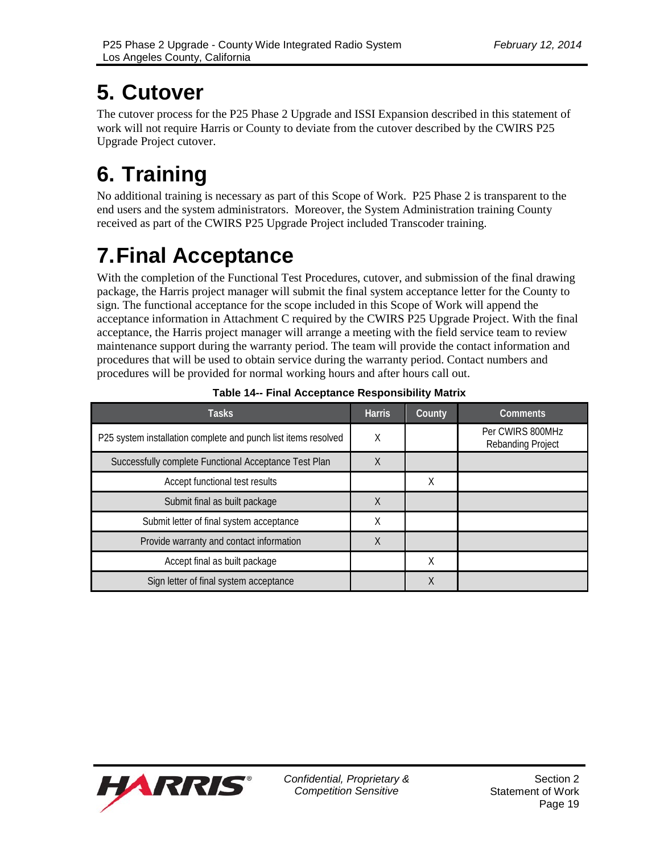# **5. Cutover**

The cutover process for the P25 Phase 2 Upgrade and ISSI Expansion described in this statement of work will not require Harris or County to deviate from the cutover described by the CWIRS P25 Upgrade Project cutover.

# **6. Training**

No additional training is necessary as part of this Scope of Work. P25 Phase 2 is transparent to the end users and the system administrators. Moreover, the System Administration training County received as part of the CWIRS P25 Upgrade Project included Transcoder training.

# **7.Final Acceptance**

With the completion of the Functional Test Procedures, cutover, and submission of the final drawing package, the Harris project manager will submit the final system acceptance letter for the County to sign. The functional acceptance for the scope included in this Scope of Work will append the acceptance information in Attachment C required by the CWIRS P25 Upgrade Project. With the final acceptance, the Harris project manager will arrange a meeting with the field service team to review maintenance support during the warranty period. The team will provide the contact information and procedures that will be used to obtain service during the warranty period. Contact numbers and procedures will be provided for normal working hours and after hours call out.

| Tasks                                                          | <b>Harris</b> | County | <b>Comments</b>                       |
|----------------------------------------------------------------|---------------|--------|---------------------------------------|
| P25 system installation complete and punch list items resolved | Χ             |        | Per CWIRS 800MHz<br>Rebanding Project |
| Successfully complete Functional Acceptance Test Plan          | X             |        |                                       |
| Accept functional test results                                 |               | χ      |                                       |
| Submit final as built package                                  | X             |        |                                       |
| Submit letter of final system acceptance                       | Χ             |        |                                       |
| Provide warranty and contact information                       | X             |        |                                       |
| Accept final as built package                                  |               | Χ      |                                       |
| Sign letter of final system acceptance                         |               | Χ      |                                       |

**Table 14-- Final Acceptance Responsibility Matrix**

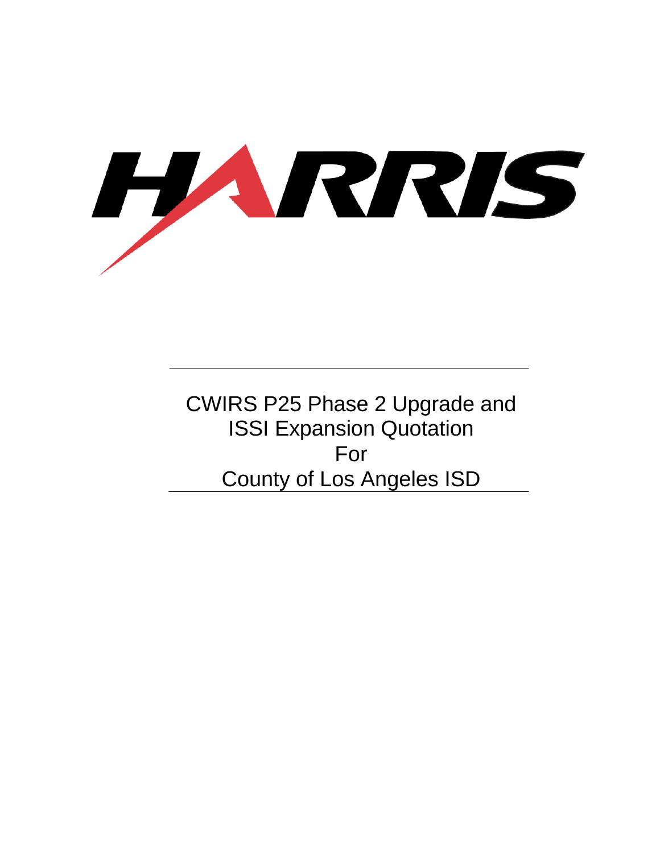

CWIRS P25 Phase 2 Upgrade and ISSI Expansion Quotation For County of Los Angeles ISD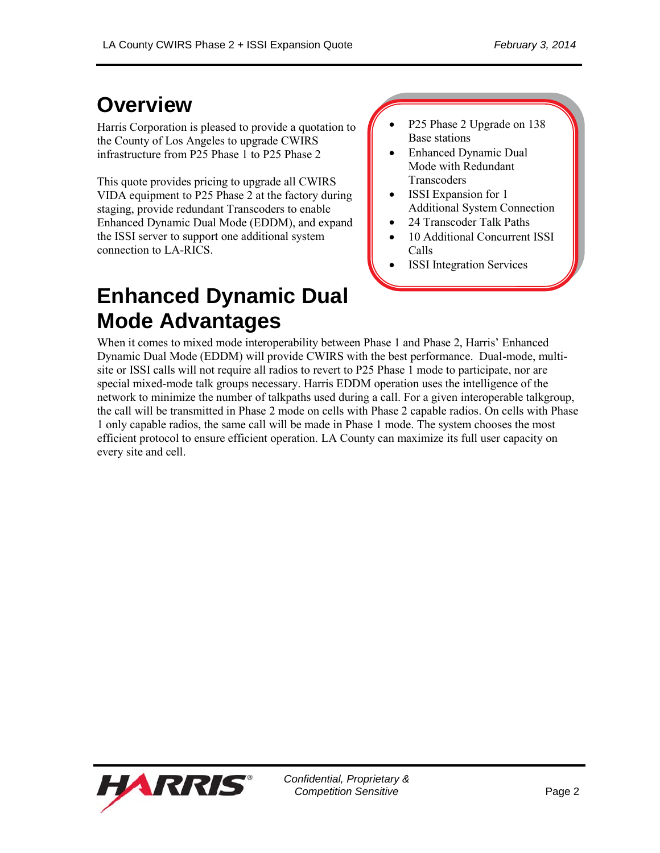# **Overview**

Harris Corporation is pleased to provide a quotation to the County of Los Angeles to upgrade CWIRS infrastructure from P25 Phase 1 to P25 Phase 2

This quote provides pricing to upgrade all CWIRS VIDA equipment to P25 Phase 2 at the factory during staging, provide redundant Transcoders to enable Enhanced Dynamic Dual Mode (EDDM), and expand the ISSI server to support one additional system connection to LA-RICS.

# **Enhanced Dynamic Dual Mode Advantages**

 P25 Phase 2 Upgrade on 138 Base stations

- Enhanced Dynamic Dual Mode with Redundant **Transcoders**
- ISSI Expansion for 1 Additional System Connection
- 24 Transcoder Talk Paths
- 10 Additional Concurrent ISSI Calls
- ISSI Integration Services

When it comes to mixed mode interoperability between Phase 1 and Phase 2, Harris' Enhanced Dynamic Dual Mode (EDDM) will provide CWIRS with the best performance. Dual-mode, multisite or ISSI calls will not require all radios to revert to P25 Phase 1 mode to participate, nor are special mixed-mode talk groups necessary. Harris EDDM operation uses the intelligence of the network to minimize the number of talkpaths used during a call. For a given interoperable talkgroup, the call will be transmitted in Phase 2 mode on cells with Phase 2 capable radios. On cells with Phase 1 only capable radios, the same call will be made in Phase 1 mode. The system chooses the most efficient protocol to ensure efficient operation. LA County can maximize its full user capacity on every site and cell.

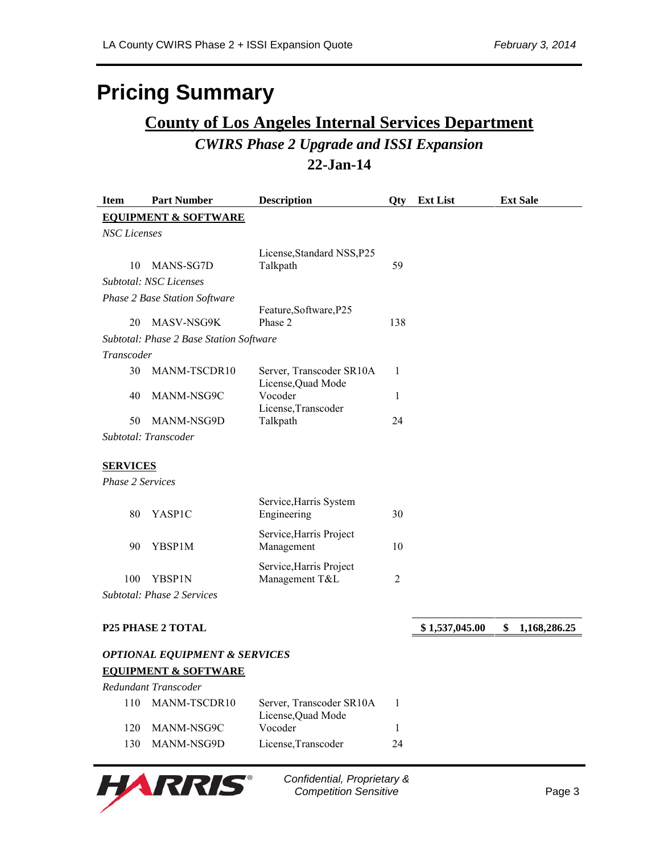# **Pricing Summary**

# **County of Los Angeles Internal Services Department** *CWIRS Phase 2 Upgrade and ISSI Expansion* **22-Jan-14**

| <b>Item</b>                     | <b>Part Number</b>                       | <b>Description</b>                             | <b>Oty</b>  | <b>Ext List</b> | <b>Ext Sale</b>    |
|---------------------------------|------------------------------------------|------------------------------------------------|-------------|-----------------|--------------------|
| <b>EQUIPMENT &amp; SOFTWARE</b> |                                          |                                                |             |                 |                    |
| <b>NSC</b> Licenses             |                                          |                                                |             |                 |                    |
|                                 |                                          | License, Standard NSS, P25                     |             |                 |                    |
| 10                              | MANS-SG7D                                | Talkpath                                       | 59          |                 |                    |
|                                 | <b>Subtotal: NSC Licenses</b>            |                                                |             |                 |                    |
|                                 | <b>Phase 2 Base Station Software</b>     |                                                |             |                 |                    |
| 20                              | <b>MASV-NSG9K</b>                        | Feature, Software, P25<br>Phase 2              | 138         |                 |                    |
|                                 | Subtotal: Phase 2 Base Station Software  |                                                |             |                 |                    |
| Transcoder                      |                                          |                                                |             |                 |                    |
| 30                              | MANM-TSCDR10                             | Server, Transcoder SR10A<br>License, Quad Mode | 1           |                 |                    |
| 40                              | MANM-NSG9C                               | Vocoder<br>License, Transcoder                 | 1           |                 |                    |
| 50                              | MANM-NSG9D                               | Talkpath                                       | 24          |                 |                    |
|                                 | Subtotal: Transcoder                     |                                                |             |                 |                    |
| <b>SERVICES</b>                 |                                          |                                                |             |                 |                    |
| <b>Phase 2 Services</b>         |                                          |                                                |             |                 |                    |
| 80                              | YASP1C                                   | Service, Harris System<br>Engineering          | 30          |                 |                    |
| 90                              | YBSP1M                                   | Service, Harris Project<br>Management          | 10          |                 |                    |
| 100                             | YBSP1N                                   | Service, Harris Project<br>Management T&L      | $\mathbf 2$ |                 |                    |
|                                 | Subtotal: Phase 2 Services               |                                                |             |                 |                    |
|                                 |                                          |                                                |             |                 |                    |
|                                 | <b>P25 PHASE 2 TOTAL</b>                 |                                                |             | \$1,537,045.00  | \$<br>1,168,286.25 |
|                                 | <b>OPTIONAL EQUIPMENT &amp; SERVICES</b> |                                                |             |                 |                    |
|                                 | <b>EQUIPMENT &amp; SOFTWARE</b>          |                                                |             |                 |                    |
|                                 | Redundant Transcoder                     |                                                |             |                 |                    |
| 110                             | MANM-TSCDR10                             | Server, Transcoder SR10A<br>License, Quad Mode | 1           |                 |                    |
| 120                             | MANM-NSG9C                               | Vocoder                                        | 1           |                 |                    |
| 130                             | MANM-NSG9D                               | License, Transcoder                            | 24          |                 |                    |



*Confidential, Proprietary &*  **Competition Sensitive Competition Sensitive**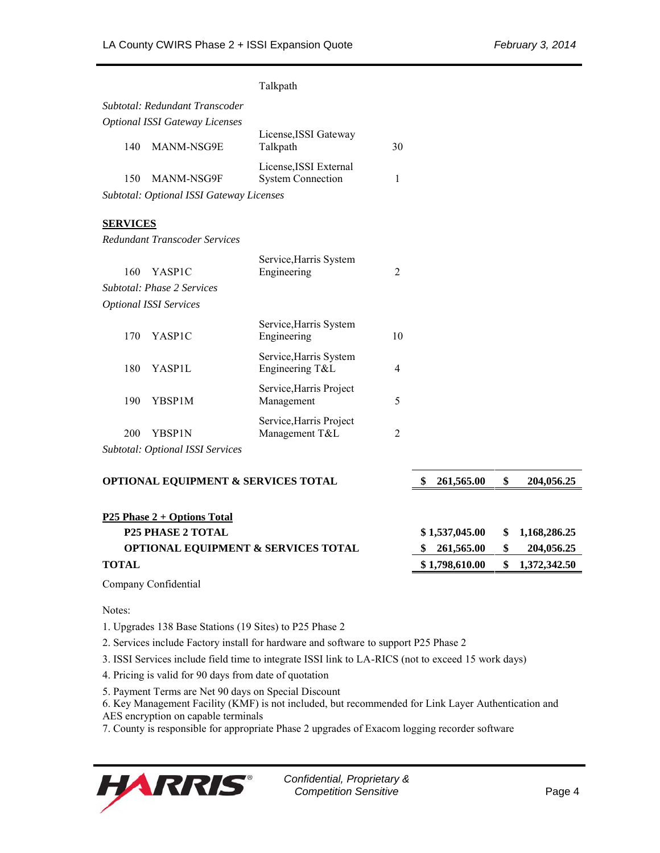|                                                |                                                | Talkpath                                           |                 |                  |              |              |
|------------------------------------------------|------------------------------------------------|----------------------------------------------------|-----------------|------------------|--------------|--------------|
|                                                | Subtotal: Redundant Transcoder                 |                                                    |                 |                  |              |              |
|                                                | <b>Optional ISSI Gateway Licenses</b>          |                                                    |                 |                  |              |              |
| 140                                            | MANM-NSG9E                                     | License, ISSI Gateway<br>Talkpath                  | 30              |                  |              |              |
| 150                                            | MANM-NSG9F                                     | License, ISSI External<br><b>System Connection</b> | 1               |                  |              |              |
|                                                | Subtotal: Optional ISSI Gateway Licenses       |                                                    |                 |                  |              |              |
|                                                |                                                |                                                    |                 |                  |              |              |
| <b>SERVICES</b>                                |                                                |                                                    |                 |                  |              |              |
|                                                | Redundant Transcoder Services                  |                                                    |                 |                  |              |              |
| 160                                            | YASP <sub>1C</sub>                             | Service, Harris System<br>Engineering              | $\overline{2}$  |                  |              |              |
|                                                | <b>Subtotal: Phase 2 Services</b>              |                                                    |                 |                  |              |              |
|                                                | <b>Optional ISSI Services</b>                  |                                                    |                 |                  |              |              |
| 170                                            | YASP1C                                         | Service, Harris System<br>Engineering              | 10              |                  |              |              |
| 180                                            | YASP1L                                         | Service, Harris System<br>Engineering T&L          | 4               |                  |              |              |
| 190                                            | YBSP1M                                         | Service, Harris Project<br>Management              | 5               |                  |              |              |
| 200                                            | YBSP1N                                         | Service, Harris Project<br>Management T&L          | $\overline{2}$  |                  |              |              |
|                                                | Subtotal: Optional ISSI Services               |                                                    |                 |                  |              |              |
|                                                |                                                |                                                    |                 |                  |              |              |
|                                                | <b>OPTIONAL EQUIPMENT &amp; SERVICES TOTAL</b> |                                                    |                 | \$<br>261,565.00 | \$           | 204,056.25   |
|                                                |                                                |                                                    |                 |                  |              |              |
| <b>P25 Phase 2 + Options Total</b>             |                                                |                                                    |                 |                  |              |              |
| <b>P25 PHASE 2 TOTAL</b>                       |                                                |                                                    |                 | \$1,537,045.00   | \$           | 1,168,286.25 |
| <b>OPTIONAL EQUIPMENT &amp; SERVICES TOTAL</b> |                                                |                                                    | 261,565.00<br>S | \$               | 204,056.25   |              |
| <b>TOTAL</b>                                   |                                                |                                                    | \$1,798,610.00  | \$               | 1,372,342.50 |              |

Company Confidential

Notes:

1. Upgrades 138 Base Stations (19 Sites) to P25 Phase 2

2. Services include Factory install for hardware and software to support P25 Phase 2

3. ISSI Services include field time to integrate ISSI link to LA-RICS (not to exceed 15 work days)

4. Pricing is valid for 90 days from date of quotation

5. Payment Terms are Net 90 days on Special Discount

6. Key Management Facility (KMF) is not included, but recommended for Link Layer Authentication and

AES encryption on capable terminals

7. County is responsible for appropriate Phase 2 upgrades of Exacom logging recorder software

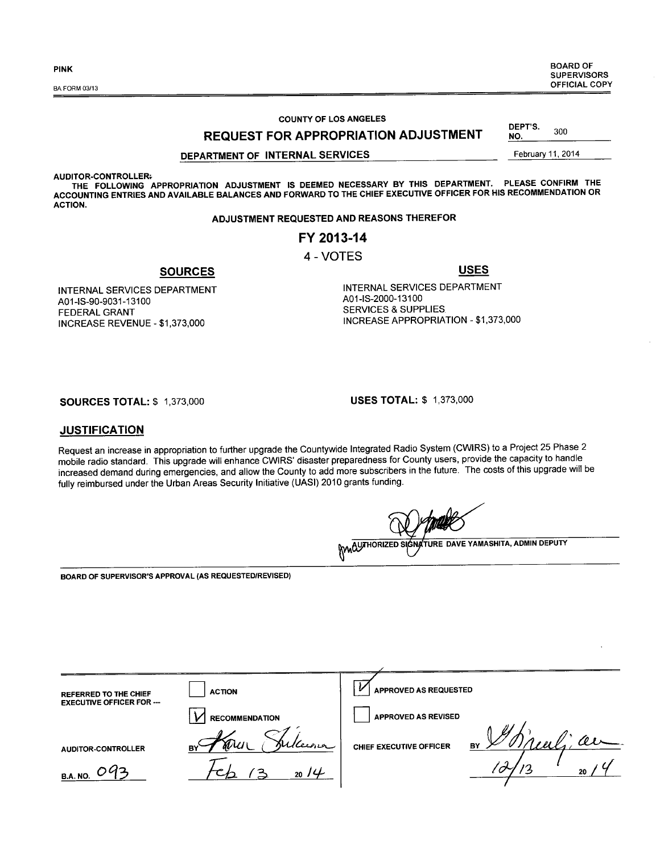PINK BOARD OF SUPERVISORS<br>OFFICIAL COPY OFFICIAL COPY SA FORM 03/13

> DEPT'S. DEPT'S.  $300$ <br>NO.  $\qquad \qquad$

#### COUNTY OF LOS ANGELES

REQUEST FOR APPROPRIATION ADJUSTMENT

#### DEPARTMENT OF INTERNAL SERVICES February 11, 2014

AUDITOR-CONTROLLER+

A01-IS-90-9031-13100 FEDERAL GRANT

THE FOLLOWING APPROPRIATION ADJUSTMENT IS DEEMED NECESSARY BY THIS DEPARTMENT. PLEASE CONFIRM THE ACCOUNTING ENTRIES AND AVAILABLE BALANCES AND FORWARD TO THE CHIEF EXECUTIVE OFFICER FOR HIS RECOMMENDATION OR ACTION.

#### ADJUSTMENT REQUESTED AND REASONS THEREFOR

#### FY 2013-14

#### 4 - VOTES

SOURCES

INTERNAL SERVICES DEPARTMENT A01-IS-2000-13100 SERVICES & SUPPLIES INCREASE APPROPRIATION - \$1,373,000

INCREASE REVENUE - \$1,373,000

INTERNAL SERVICES DEPARTMENT

SOURCES TOTAL: \$ 1,373,000 USES TOTAL: \$ 1,373,000

#### **JUSTIFICATION**

Request an increase in appropriation to further upgrade the Countywide Integrated Radio System (CWIRS) to a Project 25 Phase 2 mobile radio standard. This upgrade will enhance CWIRS' disaster preparedness for County users, provide the capacity to handle increased demand during emergencies, and allow the County to add more subscribers in the future. The costs of this upgrade will be fully reimbursed under the Urban Areas Security Initiative (UASI) 2010 grants funding.

WAQUITHORIZED SIGNATURE DAVE YAMASHITA, ADMIN DEPUTY

BOARD OF SUPERVISOR'S APPROVAL (AS REQUESTED/REVISED)

| <b>REFERRED TO THE CHIEF</b>     | <b>ACTION</b>                    | APPROVED AS REQUESTED                    |
|----------------------------------|----------------------------------|------------------------------------------|
| <b>EXECUTIVE OFFICER FOR ---</b> | <b>RECOMMENDATION</b>            | APPROVED AS REVISED                      |
| AUDITOR-CONTROLLER               | Julleena<br>$d\mathcal{U}$<br>BY | Ш<br>'U<br>BY<br>CHIEF EXECUTIVE OFFICER |
| 092<br><b>B.A. NO.</b>           | 20/4                             | 20                                       |

USES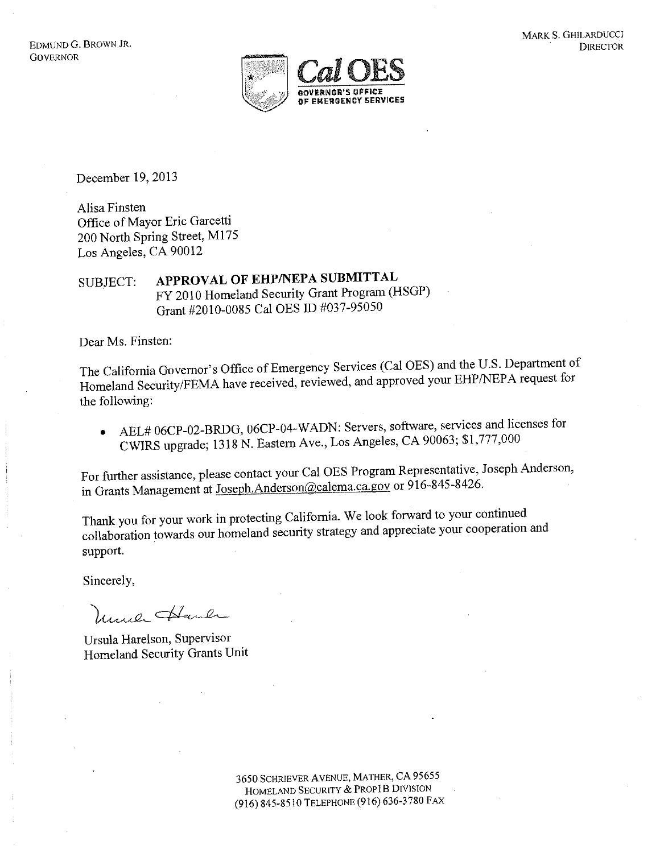

December 19, 2013

Alisa Finsten Office of Mayor Eric Garcetti 200 North Spring Street, M175 Los Angeles, CA 90012

APPROVAL OF EHP/NEPA SUBMITTAL SUBJECT: FY 2010 Homeland Security Grant Program (HSGP) Grant #2010-0085 Cal OES ID #037-95050

Dear Ms. Finsten:

The California Governor's Office of Emergency Services (Cal OES) and the U.S. Department of Homeland Security/FEMA have received, reviewed, and approved your EHP/NEPA request for the following:

AEL# 06CP-02-BRDG, 06CP-04-WADN: Servers, software, services and licenses for  $\bullet$ CWIRS upgrade; 1318 N. Eastern Ave., Los Angeles, CA 90063; \$1,777,000

For further assistance, please contact your Cal OES Program Representative, Joseph Anderson, in Grants Management at Joseph.Anderson@calema.ca.gov or 916-845-8426.

Thank you for your work in protecting California. We look forward to your continued collaboration towards our homeland security strategy and appreciate your cooperation and support.

Sincerely,

Unico Haul

Ursula Harelson, Supervisor Homeland Security Grants Unit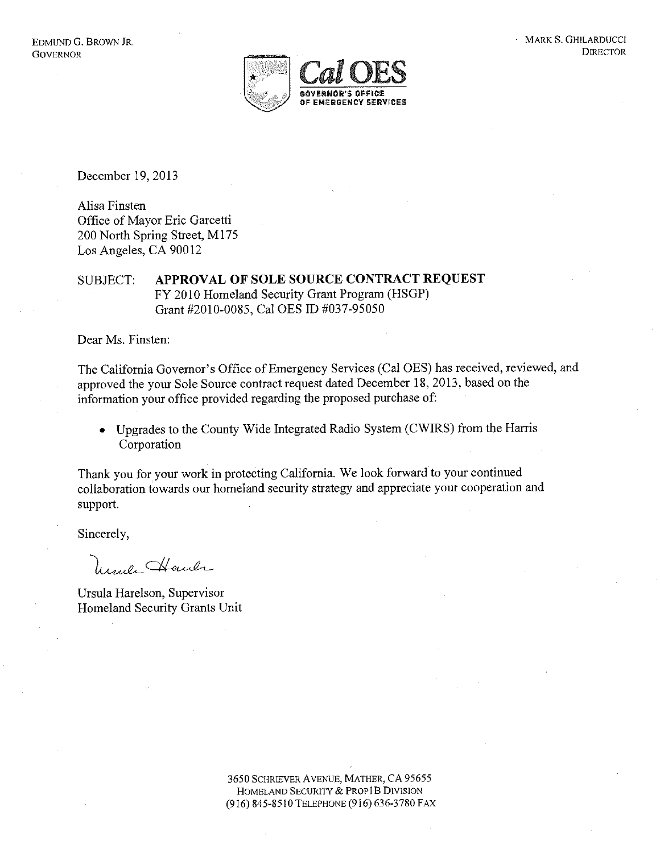

December 19, 2013

Alisa Finsten Office of Mayor Eric Garcetti 200 North Spring Street, M175 Los Angeles, CA 90012

APPROVAL OF SOLE SOURCE CONTRACT REQUEST **SUBJECT:** FY 2010 Homeland Security Grant Program (HSGP) Grant #2010-0085, Cal OES ID #037-95050

Dear Ms. Finsten:

The California Governor's Office of Emergency Services (Cal OES) has received, reviewed, and approved the your Sole Source contract request dated December 18, 2013, based on the information your office provided regarding the proposed purchase of:

Upgrades to the County Wide Integrated Radio System (CWIRS) from the Harris  $\bullet$ Corporation

Thank you for your work in protecting California. We look forward to your continued collaboration towards our homeland security strategy and appreciate your cooperation and support.

Sincerely,

March Haul

Ursula Harelson, Supervisor Homeland Security Grants Unit

> 3650 SCHRIEVER AVENUE, MATHER, CA 95655 HOMELAND SECURITY & PROP1B DIVISION (916) 845-8510 TELEPHONE (916) 636-3780 FAX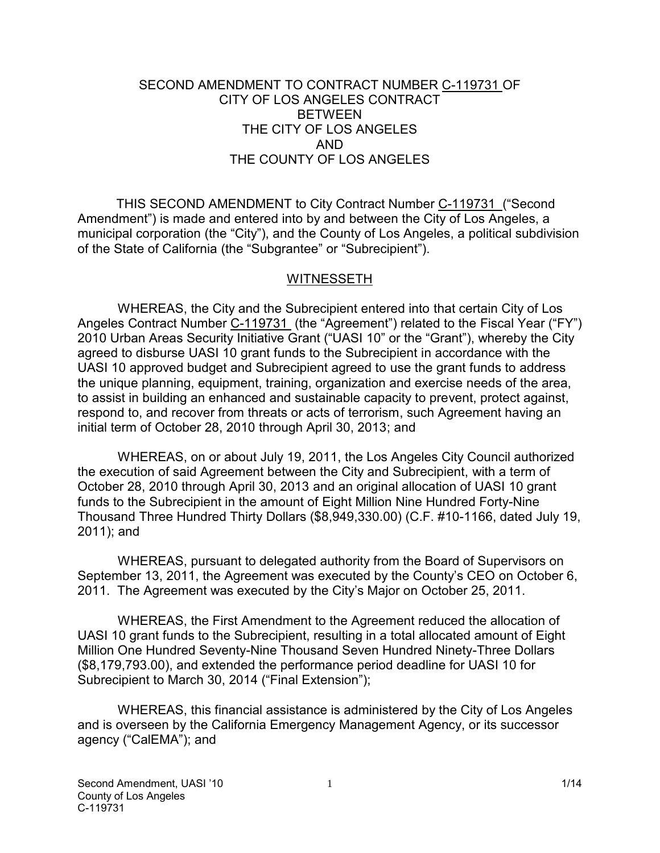#### SECOND AMENDMENT TO CONTRACT NUMBER C-119731 OF CITY OF LOS ANGELES CONTRACT BETWEEN THE CITY OF LOS ANGELES AND THE COUNTY OF LOS ANGELES

THIS SECOND AMENDMENT to City Contract Number C-119731 ("Second Amendment") is made and entered into by and between the City of Los Angeles, a municipal corporation (the "City"), and the County of Los Angeles, a political subdivision of the State of California (the "Subgrantee" or "Subrecipient").

#### WITNESSETH

 WHEREAS, the City and the Subrecipient entered into that certain City of Los Angeles Contract Number C-119731 (the "Agreement") related to the Fiscal Year ("FY") 2010 Urban Areas Security Initiative Grant ("UASI 10" or the "Grant"), whereby the City agreed to disburse UASI 10 grant funds to the Subrecipient in accordance with the UASI 10 approved budget and Subrecipient agreed to use the grant funds to address the unique planning, equipment, training, organization and exercise needs of the area, to assist in building an enhanced and sustainable capacity to prevent, protect against, respond to, and recover from threats or acts of terrorism, such Agreement having an initial term of October 28, 2010 through April 30, 2013; and

WHEREAS, on or about July 19, 2011, the Los Angeles City Council authorized the execution of said Agreement between the City and Subrecipient, with a term of October 28, 2010 through April 30, 2013 and an original allocation of UASI 10 grant funds to the Subrecipient in the amount of Eight Million Nine Hundred Forty-Nine Thousand Three Hundred Thirty Dollars (\$8,949,330.00) (C.F. #10-1166, dated July 19, 2011); and

 WHEREAS, pursuant to delegated authority from the Board of Supervisors on September 13, 2011, the Agreement was executed by the County's CEO on October 6, 2011. The Agreement was executed by the City's Major on October 25, 2011.

 WHEREAS, the First Amendment to the Agreement reduced the allocation of UASI 10 grant funds to the Subrecipient, resulting in a total allocated amount of Eight Million One Hundred Seventy-Nine Thousand Seven Hundred Ninety-Three Dollars (\$8,179,793.00), and extended the performance period deadline for UASI 10 for Subrecipient to March 30, 2014 ("Final Extension");

 WHEREAS, this financial assistance is administered by the City of Los Angeles and is overseen by the California Emergency Management Agency, or its successor agency ("CalEMA"); and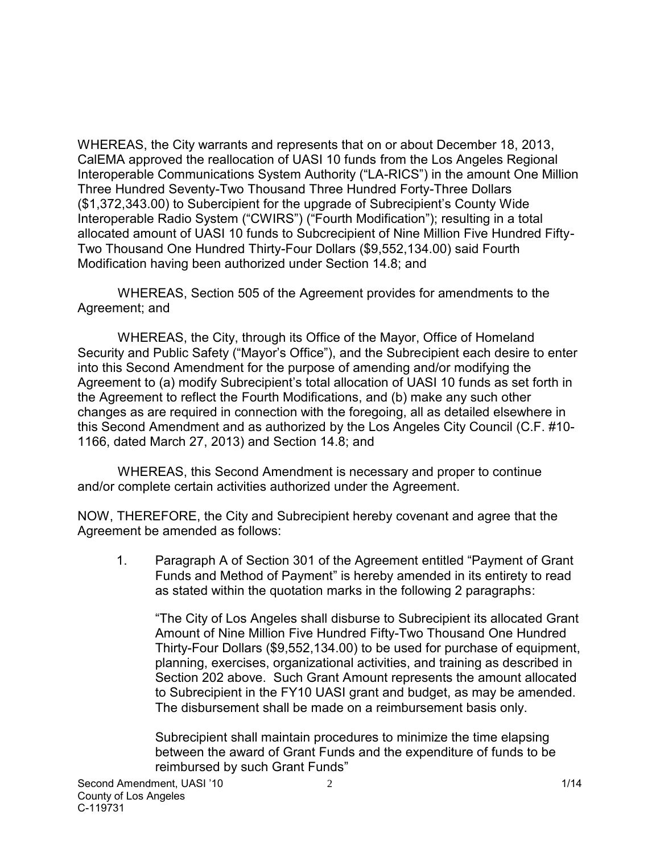WHEREAS, the City warrants and represents that on or about December 18, 2013, CalEMA approved the reallocation of UASI 10 funds from the Los Angeles Regional Interoperable Communications System Authority ("LA-RICS") in the amount One Million Three Hundred Seventy-Two Thousand Three Hundred Forty-Three Dollars (\$1,372,343.00) to Subercipient for the upgrade of Subrecipient's County Wide Interoperable Radio System ("CWIRS") ("Fourth Modification"); resulting in a total allocated amount of UASI 10 funds to Subcrecipient of Nine Million Five Hundred Fifty-Two Thousand One Hundred Thirty-Four Dollars (\$9,552,134.00) said Fourth Modification having been authorized under Section 14.8; and

 WHEREAS, Section 505 of the Agreement provides for amendments to the Agreement; and

 WHEREAS, the City, through its Office of the Mayor, Office of Homeland Security and Public Safety ("Mayor's Office"), and the Subrecipient each desire to enter into this Second Amendment for the purpose of amending and/or modifying the Agreement to (a) modify Subrecipient's total allocation of UASI 10 funds as set forth in the Agreement to reflect the Fourth Modifications, and (b) make any such other changes as are required in connection with the foregoing, all as detailed elsewhere in this Second Amendment and as authorized by the Los Angeles City Council (C.F. #10- 1166, dated March 27, 2013) and Section 14.8; and

WHEREAS, this Second Amendment is necessary and proper to continue and/or complete certain activities authorized under the Agreement.

NOW, THEREFORE, the City and Subrecipient hereby covenant and agree that the Agreement be amended as follows:

1. Paragraph A of Section 301 of the Agreement entitled "Payment of Grant Funds and Method of Payment" is hereby amended in its entirety to read as stated within the quotation marks in the following 2 paragraphs:

"The City of Los Angeles shall disburse to Subrecipient its allocated Grant Amount of Nine Million Five Hundred Fifty-Two Thousand One Hundred Thirty-Four Dollars (\$9,552,134.00) to be used for purchase of equipment, planning, exercises, organizational activities, and training as described in Section 202 above. Such Grant Amount represents the amount allocated to Subrecipient in the FY10 UASI grant and budget, as may be amended. The disbursement shall be made on a reimbursement basis only.

Subrecipient shall maintain procedures to minimize the time elapsing between the award of Grant Funds and the expenditure of funds to be reimbursed by such Grant Funds"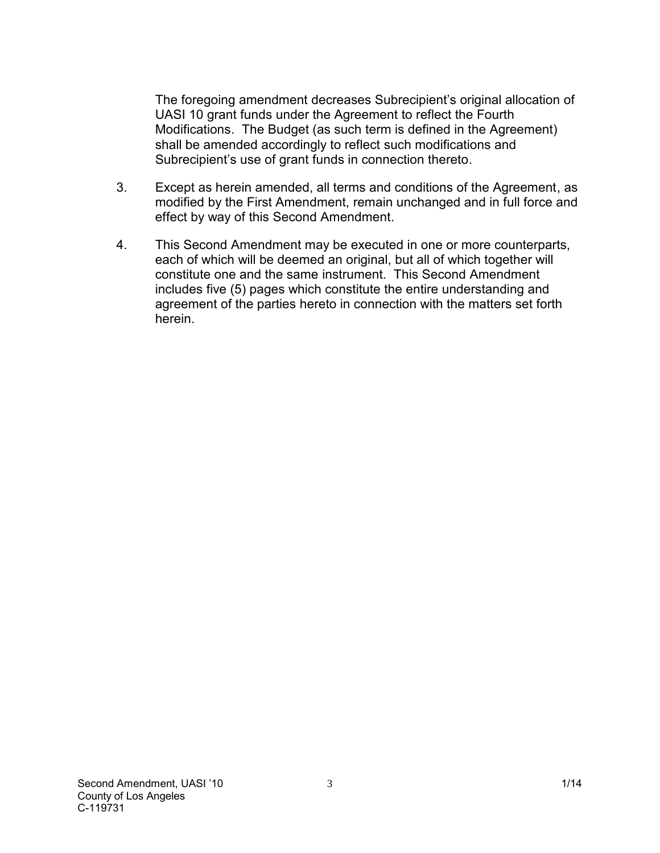The foregoing amendment decreases Subrecipient's original allocation of UASI 10 grant funds under the Agreement to reflect the Fourth Modifications. The Budget (as such term is defined in the Agreement) shall be amended accordingly to reflect such modifications and Subrecipient's use of grant funds in connection thereto.

- 3. Except as herein amended, all terms and conditions of the Agreement, as modified by the First Amendment, remain unchanged and in full force and effect by way of this Second Amendment.
- 4. This Second Amendment may be executed in one or more counterparts, each of which will be deemed an original, but all of which together will constitute one and the same instrument. This Second Amendment includes five (5) pages which constitute the entire understanding and agreement of the parties hereto in connection with the matters set forth herein.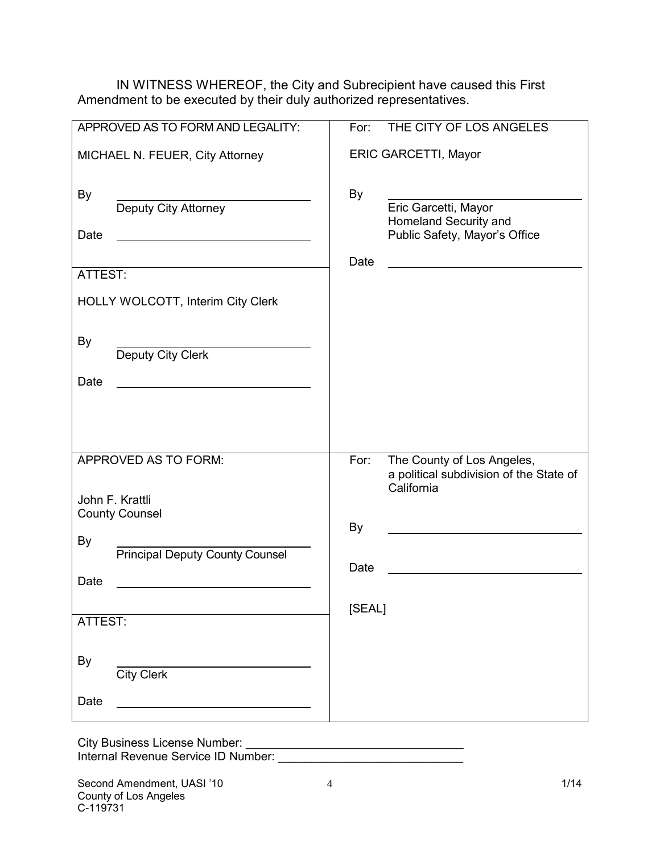IN WITNESS WHEREOF, the City and Subrecipient have caused this First Amendment to be executed by their duly authorized representatives.

| APPROVED AS TO FORM AND LEGALITY:            | THE CITY OF LOS ANGELES<br>For:                                                             |
|----------------------------------------------|---------------------------------------------------------------------------------------------|
| MICHAEL N. FEUER, City Attorney              | <b>ERIC GARCETTI, Mayor</b>                                                                 |
| By<br>Deputy City Attorney<br>Date           | <b>By</b><br>Eric Garcetti, Mayor<br>Homeland Security and<br>Public Safety, Mayor's Office |
| ATTEST:                                      | Date                                                                                        |
| HOLLY WOLCOTT, Interim City Clerk            |                                                                                             |
| <b>By</b><br>Deputy City Clerk               |                                                                                             |
| Date                                         |                                                                                             |
|                                              |                                                                                             |
| APPROVED AS TO FORM:                         | The County of Los Angeles,<br>For:<br>a political subdivision of the State of<br>California |
| John F. Krattli<br><b>County Counsel</b>     |                                                                                             |
|                                              | By                                                                                          |
| By<br><b>Principal Deputy County Counsel</b> | Date                                                                                        |
| Date                                         |                                                                                             |
| ATTEST:                                      | [SEAL]                                                                                      |
| By<br><b>City Clerk</b>                      |                                                                                             |
| Date                                         |                                                                                             |

City Business License Number: \_\_\_\_\_\_\_\_\_\_\_\_\_\_\_\_\_\_\_\_\_\_\_\_\_\_\_\_\_\_\_\_\_ Internal Revenue Service ID Number: \_\_\_\_\_\_\_\_\_\_\_\_\_\_\_\_\_\_\_\_\_\_\_\_\_\_\_\_